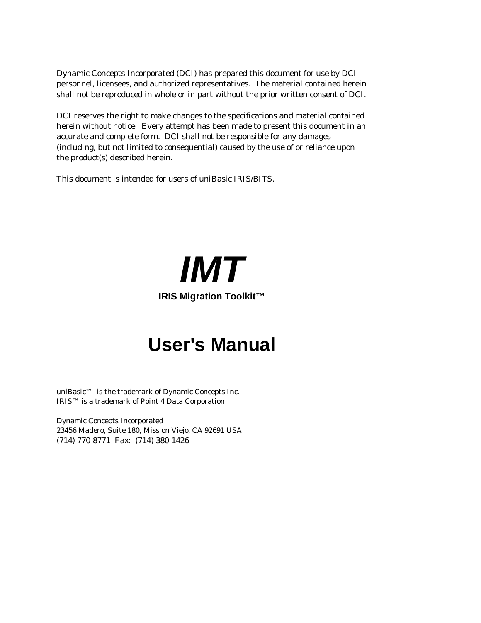Dynamic Concepts Incorporated (DCI) has prepared this document for use by DCI personnel, licensees, and authorized representatives. The material contained herein shall not be reproduced in whole or in part without the prior written consent of DCI.

DCI reserves the right to make changes to the specifications and material contained herein without notice. Every attempt has been made to present this document in an accurate and complete form. DCI shall not be responsible for any damages (including, but not limited to consequential) caused by the use of or reliance upon the product(s) described herein.

This document is intended for users of *uniBasic* IRIS/BITS.

*IMT* **IRIS Migration Toolkit™**

# **User's Manual**

uniBasic™ is the trademark of Dynamic Concepts Inc. IRIS™ is a trademark of Point 4 Data Corporation

Dynamic Concepts Incorporated 23456 Madero, Suite 180, Mission Viejo, CA 92691 USA (714) 770-8771 Fax: (714) 380-1426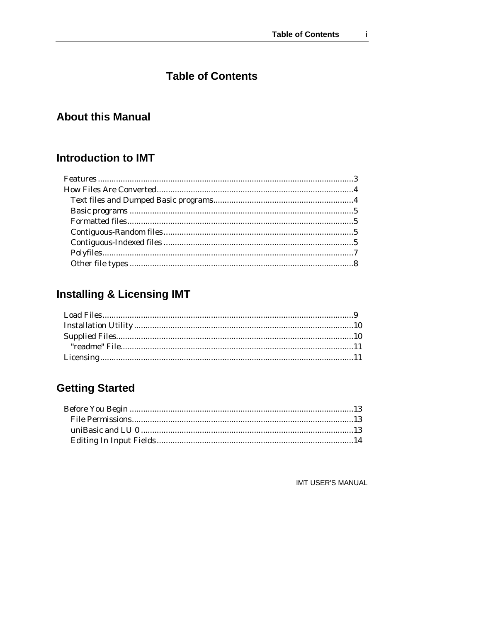### **Table of Contents**

### **About this Manual**

### **Introduction to IMT**

### **Installing & Licensing IMT**

### **Getting Started**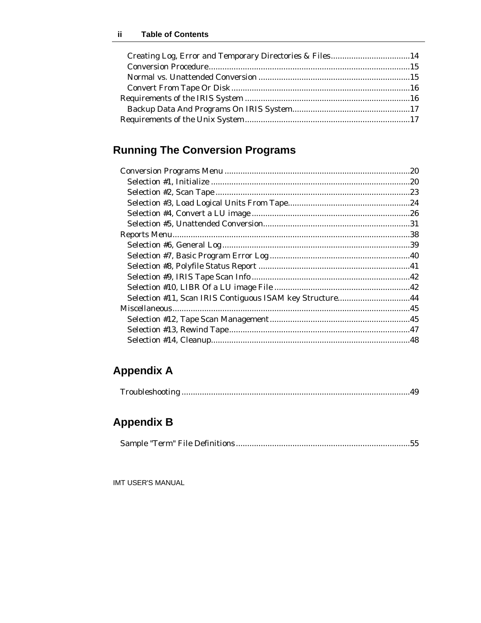| Creating Log, Error and Temporary Directories & Files14 |  |
|---------------------------------------------------------|--|
|                                                         |  |
|                                                         |  |
|                                                         |  |
|                                                         |  |
|                                                         |  |
|                                                         |  |
|                                                         |  |

### **Running The Conversion Programs**

| Selection #11, Scan IRIS Contiguous ISAM key Structure44 |  |
|----------------------------------------------------------|--|
|                                                          |  |
|                                                          |  |
|                                                          |  |
|                                                          |  |
|                                                          |  |

### **Appendix A**

|--|--|

### **Appendix B**

|--|--|--|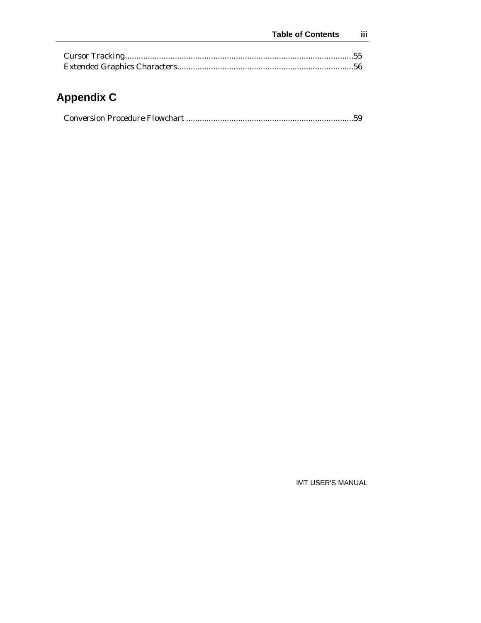## **Appendix C**

|--|--|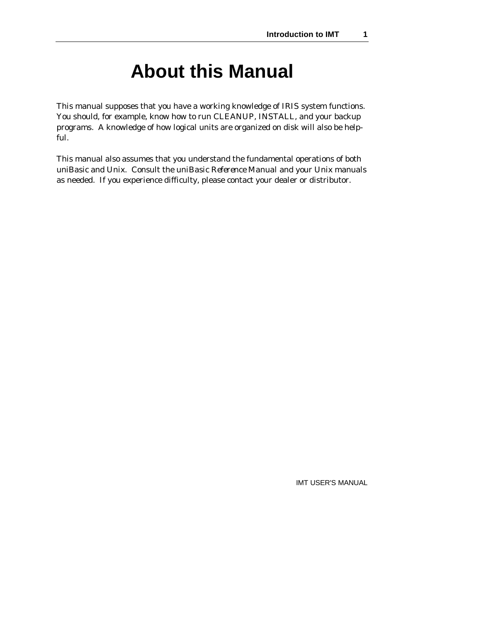# **About this Manual**

This manual supposes that you have a working knowledge of IRIS system functions. You should, for example, know how to run CLEANUP, INSTALL, and your backup programs. A knowledge of how logical units are organized on disk will also be helpful.

This manual also assumes that you understand the fundamental operations of both uniBasic and Unix. Consult the *uniBasic Reference Manual* and your Unix manuals as needed. If you experience difficulty, please contact your dealer or distributor.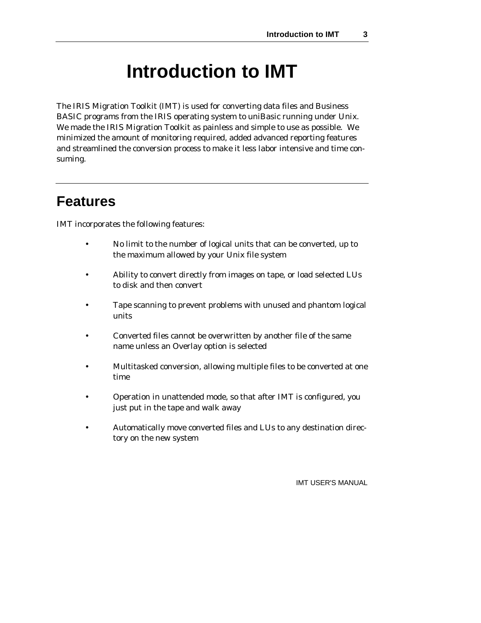# **Introduction to IMT**

The IRIS Migration Toolkit (IMT) is used for converting data files and Business BASIC programs from the IRIS operating system to uniBasic running under Unix. We made the IRIS Migration Toolkit as painless and simple to use as possible. We minimized the amount of monitoring required, added advanced reporting features and streamlined the conversion process to make it less labor intensive and time consuming.

### **Features**

IMT incorporates the following features:

- No limit to the number of logical units that can be converted, up to the maximum allowed by your Unix file system
- Ability to convert directly from images on tape, or load selected LUs to disk and then convert
- Tape scanning to prevent problems with unused and phantom logical units
- Converted files cannot be overwritten by another file of the same name unless an Overlay option is selected
- Multitasked conversion, allowing multiple files to be converted at one time
- Operation in unattended mode, so that after IMT is configured, you just put in the tape and walk away
- Automatically move converted files and LUs to any destination directory on the new system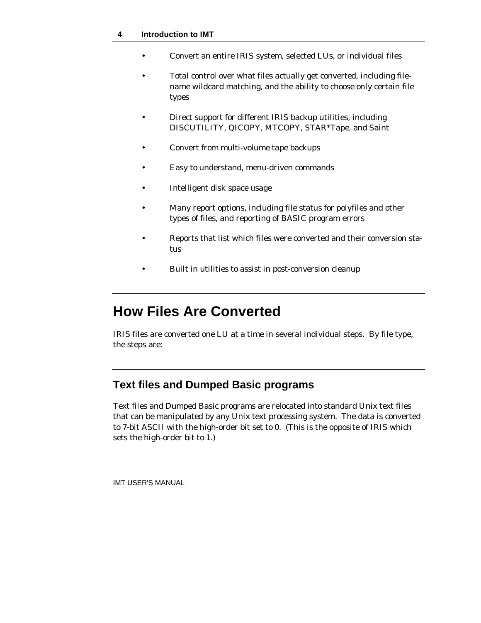- Convert an entire IRIS system, selected LUs, or individual files
- Total control over what files actually get converted, including filename wildcard matching, and the ability to choose only certain file types
- Direct support for different IRIS backup utilities, including DISCUTILITY, QICOPY, MTCOPY, STAR\*Tape, and Saint
- Convert from multi-volume tape backups
- Easy to understand, menu-driven commands
- Intelligent disk space usage
- Many report options, including file status for polyfiles and other types of files, and reporting of BASIC program errors
- Reports that list which files were converted and their conversion status
- Built in utilities to assist in post-conversion cleanup

## **How Files Are Converted**

IRIS files are converted one LU at a time in several individual steps. By file type, the steps are:

### **Text files and Dumped Basic programs**

Text files and Dumped Basic programs are relocated into standard Unix text files that can be manipulated by any Unix text processing system. The data is converted to 7-bit ASCII with the high-order bit set to 0. (This is the opposite of IRIS which sets the high-order bit to 1.)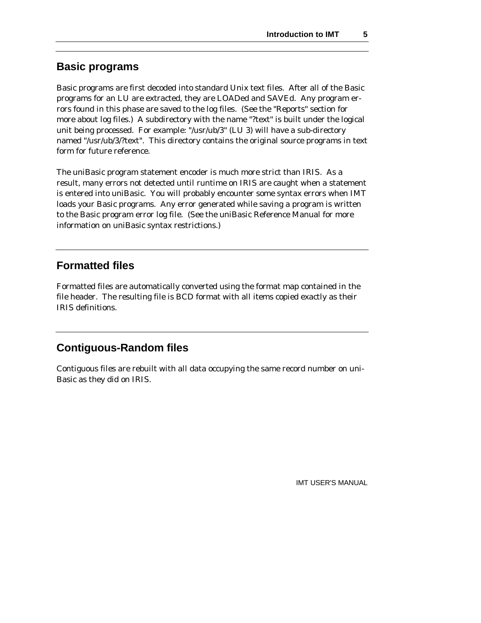### **Basic programs**

Basic programs are first decoded into standard Unix text files. After all of the Basic programs for an LU are extracted, they are LOADed and SAVEd. Any program errors found in this phase are saved to the log files. (See the "Reports" section for more about log files.) A subdirectory with the name "?text" is built under the logical unit being processed. For example: "/usr/ub/3" (LU 3) will have a sub-directory named "/usr/ub/3/?text". This directory contains the original source programs in text form for future reference.

The uniBasic program statement encoder is much more strict than IRIS. As a result, many errors not detected until runtime on IRIS are caught when a statement is entered into uniBasic. You will probably encounter some syntax errors when IMT loads your Basic programs. Any error generated while saving a program is written to the Basic program error log file. (See the uniBasic Reference Manual for more information on uniBasic syntax restrictions.)

#### **Formatted files**

Formatted files are automatically converted using the format map contained in the file header. The resulting file is BCD format with all items copied exactly as their IRIS definitions.

### **Contiguous-Random files**

Contiguous files are rebuilt with all data occupying the same record number on uni-Basic as they did on IRIS.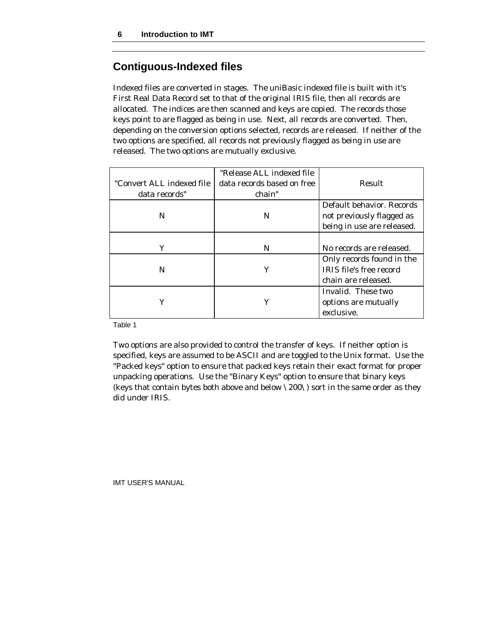#### **Contiguous-Indexed files**

Indexed files are converted in stages. The uniBasic indexed file is built with it's First Real Data Record set to that of the original IRIS file, then all records are allocated. The indices are then scanned and keys are copied. The records those keys point to are flagged as being in use. Next, all records are converted. Then, depending on the conversion options selected, records are released. If neither of the two options are specified, all records not previously flagged as being in use are released. The two options are mutually exclusive.

|                           | "Release ALL indexed file  |                                |
|---------------------------|----------------------------|--------------------------------|
| "Convert ALL indexed file | data records based on free | Result                         |
| data records"             | chain"                     |                                |
|                           |                            | Default behavior. Records      |
| N                         | N                          | not previously flagged as      |
|                           |                            | being in use are released.     |
|                           |                            |                                |
| Υ                         | N                          | No records are released.       |
|                           |                            | Only records found in the      |
| N                         |                            | <b>IRIS</b> file's free record |
|                           |                            | chain are released.            |
|                           |                            | Invalid. These two             |
| Υ                         |                            | options are mutually           |
|                           |                            | exclusive.                     |

Table 1

Two options are also provided to control the transfer of keys. If neither option is specified, keys are assumed to be ASCII and are toggled to the Unix format. Use the "Packed keys" option to ensure that packed keys retain their exact format for proper unpacking operations. Use the "Binary Keys" option to ensure that binary keys (keys that contain bytes both above and below \200\) sort in the same order as they did under IRIS.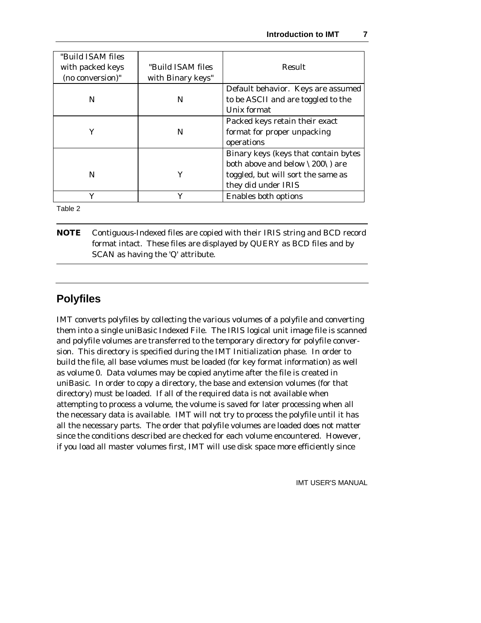| "Build ISAM files |                   |                                      |
|-------------------|-------------------|--------------------------------------|
| with packed keys  | "Build ISAM files | Result                               |
| (no conversion)"  | with Binary keys" |                                      |
|                   |                   | Default behavior. Keys are assumed   |
| N                 | N                 | to be ASCII and are toggled to the   |
|                   |                   | Unix format                          |
|                   |                   | Packed keys retain their exact       |
| ٧                 | N                 | format for proper unpacking          |
|                   |                   | operations                           |
|                   |                   | Binary keys (keys that contain bytes |
|                   |                   | both above and below \200\) are      |
| N                 | Υ                 | toggled, but will sort the same as   |
|                   |                   | they did under IRIS                  |
|                   |                   | Enables both options                 |

Table 2

**NOTE** Contiguous-Indexed files are copied with their IRIS string and BCD record format intact. These files are displayed by QUERY as BCD files and by SCAN as having the 'Q' attribute.

### **Polyfiles**

IMT converts polyfiles by collecting the various volumes of a polyfile and converting them into a single uniBasic Indexed File. The IRIS logical unit image file is scanned and polyfile volumes are transferred to the temporary directory for polyfile conversion. This directory is specified during the IMT Initialization phase. In order to build the file, all base volumes must be loaded (for key format information) as well as volume 0. Data volumes may be copied anytime after the file is created in uniBasic. In order to copy a directory, the base and extension volumes (for that directory) must be loaded. If all of the required data is not available when attempting to process a volume, the volume is saved for later processing when all the necessary data is available. IMT will not try to process the polyfile until it has all the necessary parts. The order that polyfile volumes are loaded does not matter since the conditions described are checked for each volume encountered. However, if you load all master volumes first, IMT will use disk space more efficiently since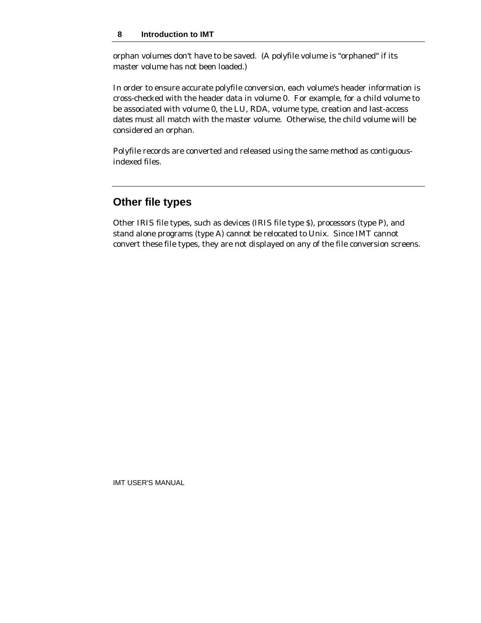#### **8 Introduction to IMT**

orphan volumes don't have to be saved. (A polyfile volume is "orphaned" if its master volume has not been loaded.)

In order to ensure accurate polyfile conversion, each volume's header information is cross-checked with the header data in volume 0. For example, for a child volume to be associated with volume 0, the LU, RDA, volume type, creation and last-access dates must all match with the master volume. Otherwise, the child volume will be considered an orphan.

Polyfile records are converted and released using the same method as contiguousindexed files.

### **Other file types**

Other IRIS file types, such as devices (IRIS file type \$), processors (type P), and stand alone programs (type A) cannot be relocated to Unix. Since IMT cannot convert these file types, they are not displayed on any of the file conversion screens.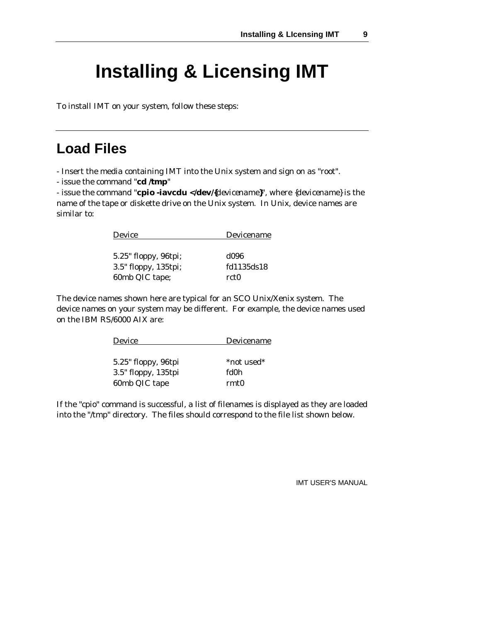# **Installing & Licensing IMT**

To install IMT on your system, follow these steps:

### **Load Files**

- Insert the media containing IMT into the Unix system and sign on as "root".

- issue the command "**cd /tmp**"

- issue the command "**cpio -iavcdu </dev/{***devicename***}**", where {*devicename*} is the name of the tape or diskette drive on the Unix system. In Unix, device names are similar to:

| Device | Devicename |
|--------|------------|
|        |            |

| 5.25" floppy, 96tpi; | d096       |
|----------------------|------------|
| 3.5" floppy, 135tpi; | fd1135ds18 |
| 60mb QIC tape;       | rct0       |

The device names shown here are typical for an SCO Unix/Xenix system. The device names on your system may be different. For example, the device names used on the IBM RS/6000 AIX are:

| Device              | Devicename |
|---------------------|------------|
|                     |            |
| 5.25" floppy, 96tpi | *not used* |
| 3.5" floppy, 135tpi | fd0h       |
| 60mb QIC tape       | rmt0       |

If the "cpio" command is successful, a list of filenames is displayed as they are loaded into the "/tmp" directory. The files should correspond to the file list shown below.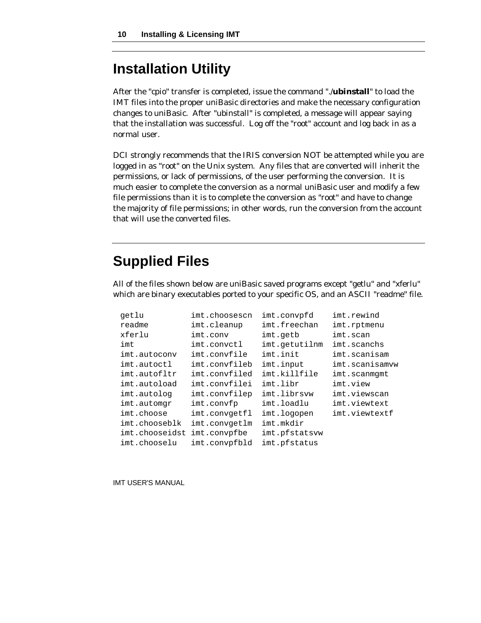## **Installation Utility**

After the "cpio" transfer is completed, issue the command "./**ubinstall**" to load the IMT files into the proper uniBasic directories and make the necessary configuration changes to uniBasic. After "ubinstall" is completed, a message will appear saying that the installation was successful. Log off the "root" account and log back in as a normal user.

DCI strongly recommends that the IRIS conversion NOT be attempted while you are logged in as "root" on the Unix system. Any files that are converted will inherit the permissions, or lack of permissions, of the user performing the conversion. It is much easier to complete the conversion as a normal uniBasic user and modify a few file permissions than it is to complete the conversion as "root" and have to change the majority of file permissions; in other words, run the conversion from the account that will use the converted files.

## **Supplied Files**

All of the files shown below are uniBasic saved programs except "getlu" and "xferlu" which are binary executables ported to your specific OS, and an ASCII "readme" file.

| qetlu          | imt.choosescn | imt.convpfd   | imt.rewind     |
|----------------|---------------|---------------|----------------|
| readme         | imt.cleanup   | imt.freechan  | imt.rptmenu    |
| xferlu         | imt.conv      | imt.getb      | imt.scan       |
| imt            | imt.convctl   | imt.getutilnm | imt.scanchs    |
| imt.autoconv   | imt.convfile  | imt.init      | imt.scanisam   |
| imt.autoctl    | imt.convfileb | imt.input     | imt.scanisamvw |
| imt.autofltr   | imt.convfiled | imt.killfile  | imt.scanmqmt   |
| imt.autoload   | imt.convfilei | imt.libr      | imt.view       |
| imt.autolog    | imt.convfilep | imt.librsvw   | imt.viewscan   |
| imt.automgr    | imt.convfp    | imt.loadlu    | imt.viewtext   |
| imt.choose     | imt.convgetfl | imt.logopen   | imt.viewtextf  |
| imt.chooseblk  | imt.convgetlm | imt.mkdir     |                |
| imt.chooseidst | imt.convpfbe  | imt.pfstatsvw |                |
| imt.chooselu   | imt.convpfbld | imt.pfstatus  |                |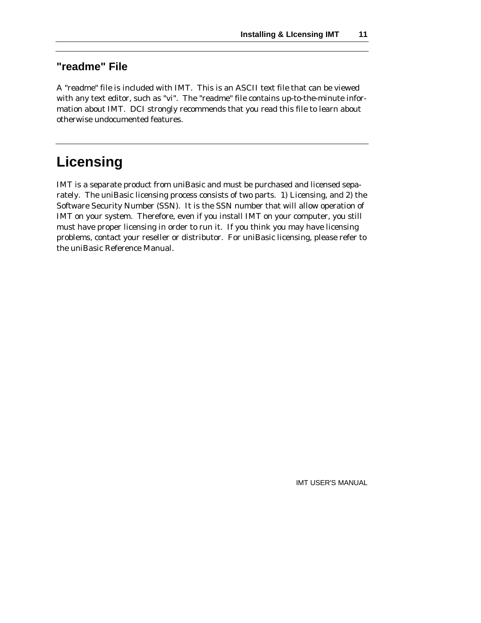### **"readme" File**

A "readme" file is included with IMT. This is an ASCII text file that can be viewed with any text editor, such as "vi". The "readme" file contains up-to-the-minute information about IMT. DCI strongly recommends that you read this file to learn about otherwise undocumented features.

## **Licensing**

IMT is a separate product from uniBasic and must be purchased and licensed separately. The uniBasic licensing process consists of two parts. 1) Licensing, and 2) the Software Security Number (SSN). It is the SSN number that will allow operation of IMT on your system. Therefore, even if you install IMT on your computer, you still must have proper licensing in order to run it. If you think you may have licensing problems, contact your reseller or distributor. For uniBasic licensing, please refer to the uniBasic Reference Manual.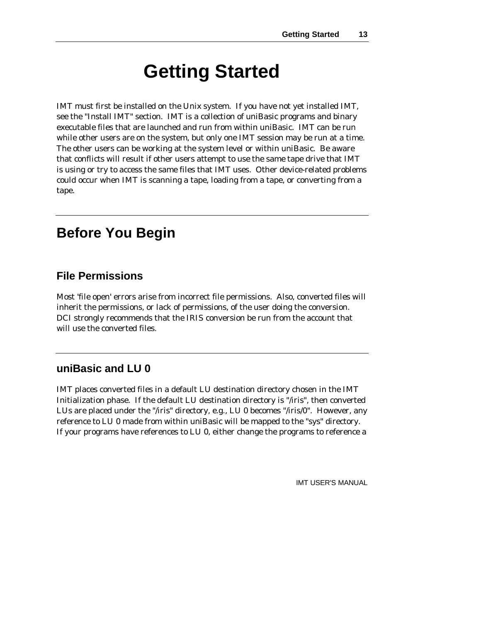# **Getting Started**

IMT must first be installed on the Unix system. If you have not yet installed IMT, see the "Install IMT" section. IMT is a collection of uniBasic programs and binary executable files that are launched and run from within uniBasic. IMT can be run while other users are on the system, but only one IMT session may be run at a time. The other users can be working at the system level or within uniBasic. Be aware that conflicts will result if other users attempt to use the same tape drive that IMT is using or try to access the same files that IMT uses. Other device-related problems could occur when IMT is scanning a tape, loading from a tape, or converting from a tape.

### **Before You Begin**

#### **File Permissions**

Most 'file open' errors arise from incorrect file permissions. Also, converted files will inherit the permissions, or lack of permissions, of the user doing the conversion. DCI strongly recommends that the IRIS conversion be run from the account that will use the converted files.

#### **uniBasic and LU 0**

IMT places converted files in a default LU destination directory chosen in the IMT Initialization phase. If the default LU destination directory is "/iris", then converted LUs are placed under the "/iris" directory, e.g., LU 0 becomes "/iris/0". However, any reference to LU 0 made from within uniBasic will be mapped to the "sys" directory. If your programs have references to LU 0, either change the programs to reference a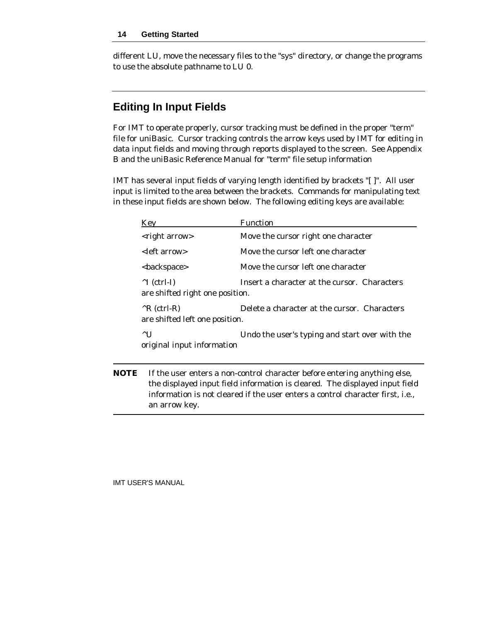different LU, move the necessary files to the "sys" directory, or change the programs to use the absolute pathname to LU 0.

### **Editing In Input Fields**

For IMT to operate properly, cursor tracking must be defined in the proper "term" file for uniBasic. Cursor tracking controls the arrow keys used by IMT for editing in data input fields and moving through reports displayed to the screen. See Appendix B and the uniBasic Reference Manual for "term" file setup information

IMT has several input fields of varying length identified by brackets "[ ]". All user input is limited to the area between the brackets. Commands for manipulating text in these input fields are shown below. The following editing keys are available:

|             | Key                                                      | Function                                                                                                                                                                                                                                   |
|-------------|----------------------------------------------------------|--------------------------------------------------------------------------------------------------------------------------------------------------------------------------------------------------------------------------------------------|
|             | <right arrow=""></right>                                 | Move the cursor right one character                                                                                                                                                                                                        |
|             | <left arrow=""></left>                                   | Move the cursor left one character                                                                                                                                                                                                         |
|             | <backspace></backspace>                                  | Move the cursor left one character                                                                                                                                                                                                         |
|             | $\wedge$ I (ctrl-I)<br>are shifted right one position.   | Insert a character at the cursor. Characters                                                                                                                                                                                               |
|             | $^{\wedge}$ R (ctrl-R)<br>are shifted left one position. | Delete a character at the cursor. Characters                                                                                                                                                                                               |
|             | $^{\wedge}$ U<br>original input information              | Undo the user's typing and start over with the                                                                                                                                                                                             |
| <b>NOTE</b> |                                                          | If the user enters a non-control character before entering anything else,<br>the displayed input field information is cleared. The displayed input field<br>information is not cleared if the user enters a control character first, i.e., |

IMT USER'S MANUAL

an arrow key.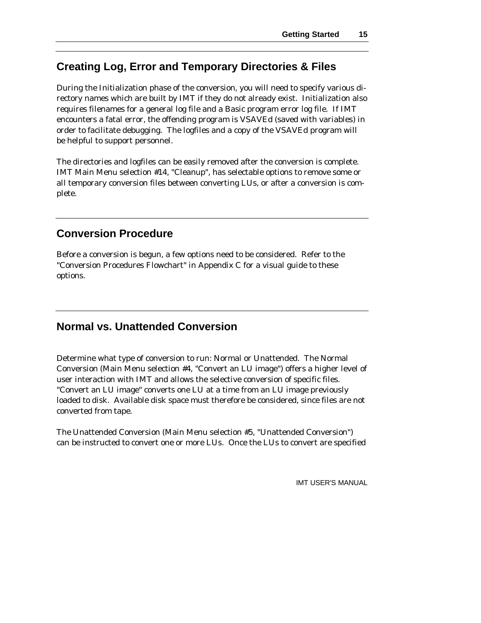### **Creating Log, Error and Temporary Directories & Files**

During the Initialization phase of the conversion, you will need to specify various directory names which are built by IMT if they do not already exist. Initialization also requires filenames for a general log file and a Basic program error log file. If IMT encounters a fatal error, the offending program is VSAVEd (saved with variables) in order to facilitate debugging. The logfiles and a copy of the VSAVEd program will be helpful to support personnel.

The directories and logfiles can be easily removed after the conversion is complete. IMT Main Menu selection #14, "Cleanup", has selectable options to remove some or all temporary conversion files between converting LUs, or after a conversion is complete.

#### **Conversion Procedure**

Before a conversion is begun, a few options need to be considered. Refer to the "Conversion Procedures Flowchart" in Appendix C for a visual guide to these options.

### **Normal vs. Unattended Conversion**

Determine what type of conversion to run: Normal or Unattended. The Normal Conversion (Main Menu selection #4, "Convert an LU image") offers a higher level of user interaction with IMT and allows the selective conversion of specific files. "Convert an LU image" converts one LU at a time from an LU image previously loaded to disk. Available disk space must therefore be considered, since files are not converted from tape.

The Unattended Conversion (Main Menu selection #5, "Unattended Conversion") can be instructed to convert one or more LUs. Once the LUs to convert are specified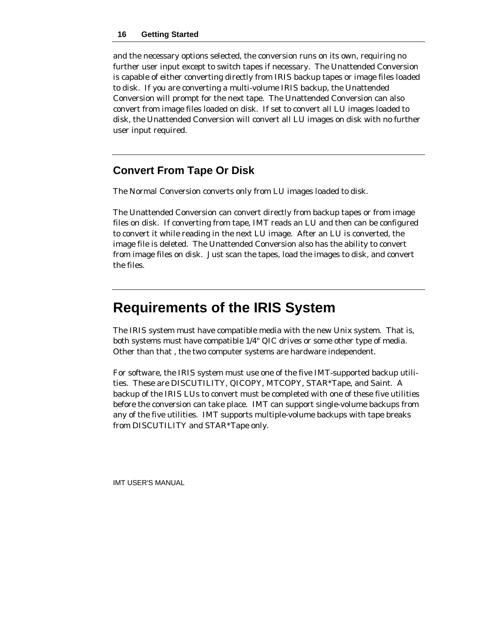and the necessary options selected, the conversion runs on its own, requiring no further user input except to switch tapes if necessary. The Unattended Conversion is capable of either converting directly from IRIS backup tapes or image files loaded to disk. If you are converting a multi-volume IRIS backup, the Unattended Conversion will prompt for the next tape. The Unattended Conversion can also convert from image files loaded on disk. If set to convert all LU images loaded to disk, the Unattended Conversion will convert all LU images on disk with no further user input required.

### **Convert From Tape Or Disk**

The Normal Conversion converts only from LU images loaded to disk.

The Unattended Conversion can convert directly from backup tapes or from image files on disk. If converting from tape, IMT reads an LU and then can be configured to convert it while reading in the next LU image. After an LU is converted, the image file is deleted. The Unattended Conversion also has the ability to convert from image files on disk. Just scan the tapes, load the images to disk, and convert the files.

## **Requirements of the IRIS System**

The IRIS system must have compatible media with the new Unix system. That is, both systems must have compatible 1/4" QIC drives or some other type of media. Other than that , the two computer systems are hardware independent.

For software, the IRIS system must use one of the five IMT-supported backup utilities. These are DISCUTILITY, QICOPY, MTCOPY, STAR\*Tape, and Saint. A backup of the IRIS LUs to convert must be completed with one of these five utilities before the conversion can take place. IMT can support single-volume backups from any of the five utilities. IMT supports multiple-volume backups with tape breaks from DISCUTILITY and STAR\*Tape only.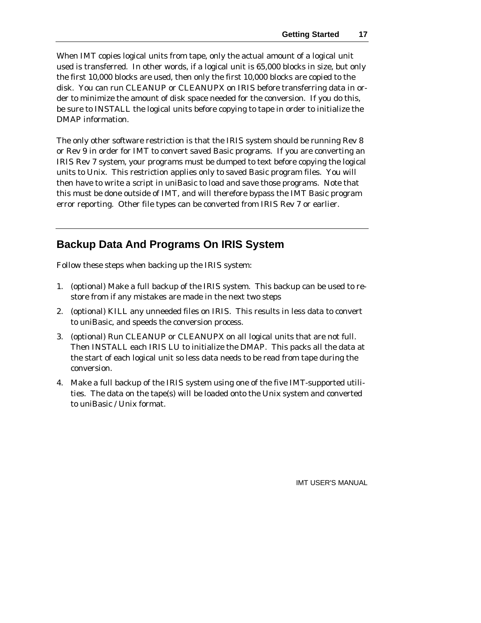When IMT copies logical units from tape, only the actual amount of a logical unit used is transferred. In other words, if a logical unit is 65,000 blocks in size, but only the first 10,000 blocks are used, then only the first 10,000 blocks are copied to the disk. You can run CLEANUP or CLEANUPX on IRIS before transferring data in order to minimize the amount of disk space needed for the conversion. If you do this, be sure to INSTALL the logical units before copying to tape in order to initialize the DMAP information.

The only other software restriction is that the IRIS system should be running Rev 8 or Rev 9 in order for IMT to convert saved Basic programs. If you are converting an IRIS Rev 7 system, your programs must be dumped to text before copying the logical units to Unix. This restriction applies only to saved Basic program files. You will then have to write a script in uniBasic to load and save those programs. Note that this must be done outside of IMT, and will therefore bypass the IMT Basic program error reporting. Other file types can be converted from IRIS Rev 7 or earlier.

### **Backup Data And Programs On IRIS System**

Follow these steps when backing up the IRIS system:

- 1. (optional) Make a full backup of the IRIS system. This backup can be used to restore from if any mistakes are made in the next two steps
- 2. (optional) KILL any unneeded files on IRIS. This results in less data to convert to uniBasic, and speeds the conversion process.
- 3. (optional) Run CLEANUP or CLEANUPX on all logical units that are not full. Then INSTALL each IRIS LU to initialize the DMAP. This packs all the data at the start of each logical unit so less data needs to be read from tape during the conversion.
- 4. Make a full backup of the IRIS system using one of the five IMT-supported utilities. The data on the tape(s) will be loaded onto the Unix system and converted to uniBasic / Unix format.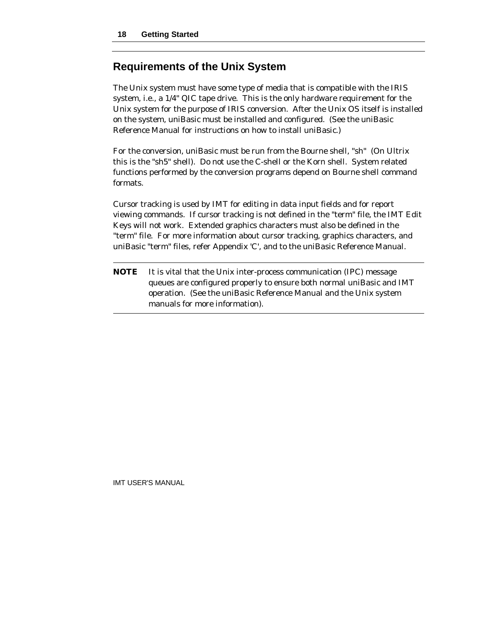#### **Requirements of the Unix System**

The Unix system must have some type of media that is compatible with the IRIS system, i.e., a 1/4" QIC tape drive. This is the only hardware requirement for the Unix system for the purpose of IRIS conversion. After the Unix OS itself is installed on the system, uniBasic must be installed and configured. (See the uniBasic Reference Manual for instructions on how to install uniBasic.)

For the conversion, uniBasic must be run from the Bourne shell, "sh" (On Ultrix this is the "sh5" shell). Do not use the C-shell or the Korn shell. System related functions performed by the conversion programs depend on Bourne shell command formats.

Cursor tracking is used by IMT for editing in data input fields and for report viewing commands. If cursor tracking is not defined in the "term" file, the IMT Edit Keys will not work. Extended graphics characters must also be defined in the "term" file. For more information about cursor tracking, graphics characters, and uniBasic "term" files, refer Appendix 'C', and to the uniBasic Reference Manual.

**NOTE** It is vital that the Unix inter-process communication (IPC) message queues are configured properly to ensure both normal uniBasic and IMT operation. (See the uniBasic Reference Manual and the Unix system manuals for more information).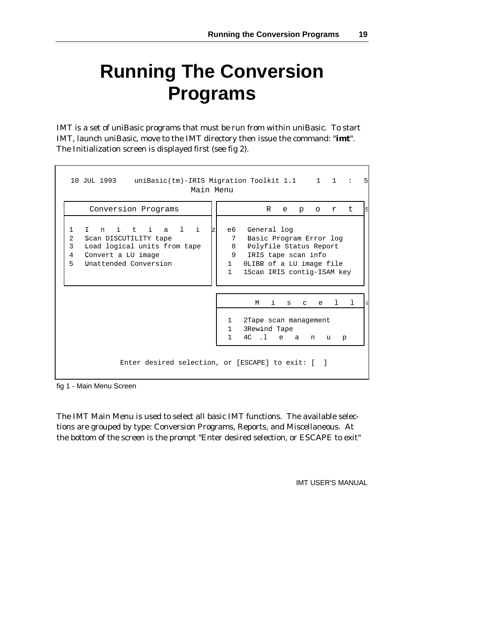# **Running The Conversion Programs**

IMT is a set of uniBasic programs that must be run from within uniBasic. To start IMT, launch uniBasic, move to the IMT directory then issue the command: "**imt**". The Initialization screen is displayed first (see fig 2).

| Conversion Programs                                                                                                                       |                                           | R<br>o r t<br>e<br>p                                                                                                                                |
|-------------------------------------------------------------------------------------------------------------------------------------------|-------------------------------------------|-----------------------------------------------------------------------------------------------------------------------------------------------------|
| Initiali<br>1<br>Scan DISCUTILITY tape<br>2<br>Load logical units from tape<br>3<br>Convert a LU image<br>4<br>5<br>Unattended Conversion | еб<br>7<br>8<br>$1 \quad$<br>$\mathbf{1}$ | General log<br>Basic Program Error log<br>Polyfile Status Report<br>9 IRIS tape scan info<br>OLIBR of a LU image file<br>1Scan IRIS contig-ISAM key |
|                                                                                                                                           |                                           | $\mathbf{i}$<br>e 1 1<br>M<br>S<br>$\mathbf{C}$                                                                                                     |
|                                                                                                                                           | $\mathbf{1}$<br>$\mathbf{1}$              | 2Tape scan management<br>3Rewind Tape<br>4C .1 e a n<br>u p                                                                                         |

fig 1 - Main Menu Screen

The IMT Main Menu is used to select all basic IMT functions. The available selections are grouped by type: Conversion Programs, Reports, and Miscellaneous. At the bottom of the screen is the prompt "Enter desired selection, or ESCAPE to exit"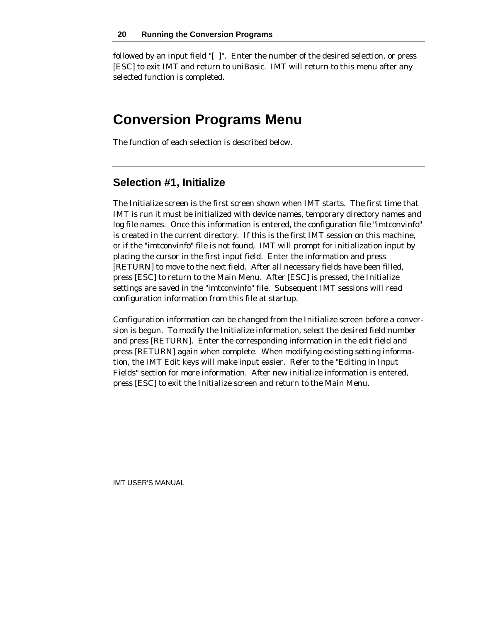followed by an input field "[ ]". Enter the number of the desired selection, or press [ESC] to exit IMT and return to uniBasic. IMT will return to this menu after any selected function is completed.

### **Conversion Programs Menu**

The function of each selection is described below.

#### **Selection #1, Initialize**

The Initialize screen is the first screen shown when IMT starts. The first time that IMT is run it must be initialized with device names, temporary directory names and log file names. Once this information is entered, the configuration file "imtconvinfo" is created in the current directory. If this is the first IMT session on this machine, or if the "imtconvinfo" file is not found, IMT will prompt for initialization input by placing the cursor in the first input field. Enter the information and press [RETURN] to move to the next field. After all necessary fields have been filled, press [ESC] to return to the Main Menu. After [ESC] is pressed, the Initialize settings are saved in the "imtconvinfo" file. Subsequent IMT sessions will read configuration information from this file at startup.

Configuration information can be changed from the Initialize screen before a conversion is begun. To modify the Initialize information, select the desired field number and press [RETURN]. Enter the corresponding information in the edit field and press [RETURN] again when complete. When modifying existing setting information, the IMT Edit keys will make input easier. Refer to the "Editing in Input Fields" section for more information. After new initialize information is entered, press [ESC] to exit the Initialize screen and return to the Main Menu.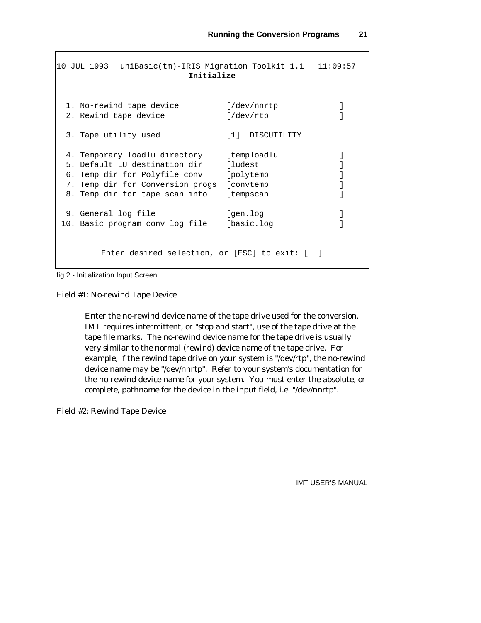```
10 JUL 1993 uniBasic(tm)-IRIS Migration Toolkit 1.1 11:09:57
                      Initialize
 1. No-rewind tape device [/dev/nnrtp ]
 2. Rewind tape device [}/\text{dev/rtp} ]
 3. Tape utility used [1] DISCUTILITY
 4. Temporary loadlu directory [temploadlu ]
 5. Default LU destination dir [ludest ]
 6. Temp dir for Polyfile conv [polytemp ]
 7. Temp dir for Conversion progs [convtemp ]
 8. Temp dir for tape scan info [tempscan ]
 9. General log file in the set of gen.log in the set of [gen.log] and [gen.log]10. Basic program conv log file [basic.log ]
       Enter desired selection, or [ESC] to exit: [ ]
```
fig 2 - Initialization Input Screen

Field #1: No-rewind Tape Device

Enter the no-rewind device name of the tape drive used for the conversion. IMT requires intermittent, or "stop and start", use of the tape drive at the tape file marks. The no-rewind device name for the tape drive is usually very similar to the normal (rewind) device name of the tape drive. For example, if the rewind tape drive on your system is "/dev/rtp", the no-rewind device name may be "/dev/nnrtp". Refer to your system's documentation for the no-rewind device name for your system. You must enter the absolute, or complete, pathname for the device in the input field, i.e. "/dev/nnrtp".

Field #2: Rewind Tape Device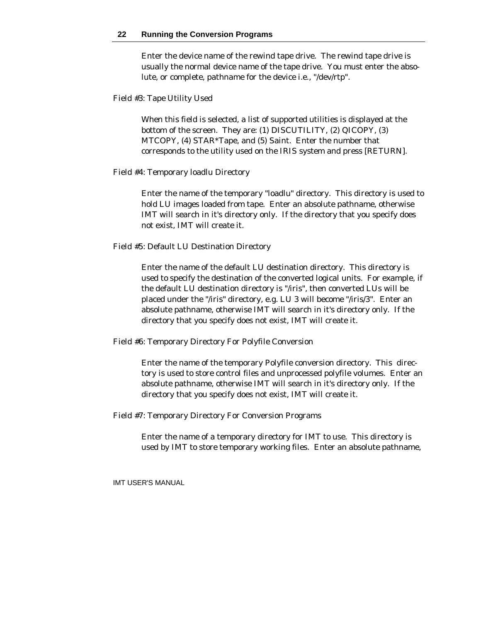Enter the device name of the rewind tape drive. The rewind tape drive is usually the normal device name of the tape drive. You must enter the absolute, or complete, pathname for the device i.e., "/dev/rtp".

#### Field #3: Tape Utility Used

When this field is selected, a list of supported utilities is displayed at the bottom of the screen. They are: (1) DISCUTILITY, (2) QICOPY, (3) MTCOPY, (4) STAR\*Tape, and (5) Saint. Enter the number that corresponds to the utility used on the IRIS system and press [RETURN].

#### Field #4: Temporary loadlu Directory

Enter the name of the temporary "loadlu" directory. This directory is used to hold LU images loaded from tape. Enter an absolute pathname, otherwise IMT will search in it's directory only. If the directory that you specify does not exist, IMT will create it.

#### Field #5: Default LU Destination Directory

Enter the name of the default LU destination directory. This directory is used to specify the destination of the converted logical units. For example, if the default LU destination directory is "/iris", then converted LUs will be placed under the "/iris" directory, e.g. LU 3 will become "/iris/3". Enter an absolute pathname, otherwise IMT will search in it's directory only. If the directory that you specify does not exist, IMT will create it.

Field #6: Temporary Directory For Polyfile Conversion

Enter the name of the temporary Polyfile conversion directory. This directory is used to store control files and unprocessed polyfile volumes. Enter an absolute pathname, otherwise IMT will search in it's directory only. If the directory that you specify does not exist, IMT will create it.

Field #7: Temporary Directory For Conversion Programs

Enter the name of a temporary directory for IMT to use. This directory is used by IMT to store temporary working files. Enter an absolute pathname,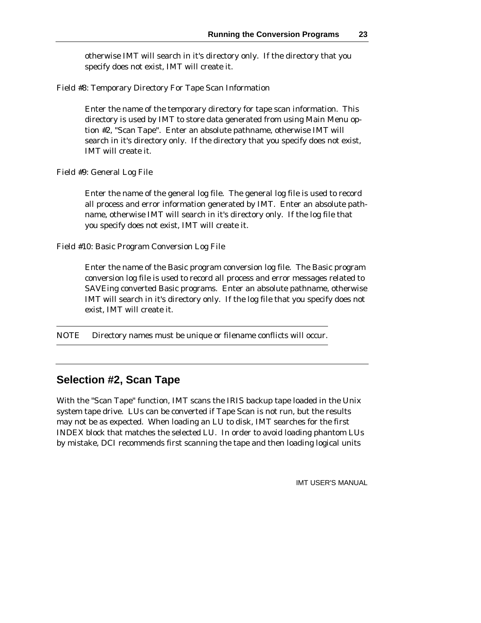otherwise IMT will search in it's directory only. If the directory that you specify does not exist, IMT will create it.

Field #8: Temporary Directory For Tape Scan Information

Enter the name of the temporary directory for tape scan information. This directory is used by IMT to store data generated from using Main Menu option #2, "Scan Tape". Enter an absolute pathname, otherwise IMT will search in it's directory only. If the directory that you specify does not exist, IMT will create it.

Field #9: General Log File

Enter the name of the general log file. The general log file is used to record all process and error information generated by IMT. Enter an absolute pathname, otherwise IMT will search in it's directory only. If the log file that you specify does not exist, IMT will create it.

Field #10: Basic Program Conversion Log File

Enter the name of the Basic program conversion log file. The Basic program conversion log file is used to record all process and error messages related to SAVEing converted Basic programs. Enter an absolute pathname, otherwise IMT will search in it's directory only. If the log file that you specify does not exist, IMT will create it.

NOTE Directory names must be unique or filename conflicts will occur.

### **Selection #2, Scan Tape**

With the "Scan Tape" function, IMT scans the IRIS backup tape loaded in the Unix system tape drive. LUs can be converted if Tape Scan is not run, but the results may not be as expected. When loading an LU to disk, IMT searches for the first INDEX block that matches the selected LU. In order to avoid loading phantom LUs by mistake, DCI recommends first scanning the tape and then loading logical units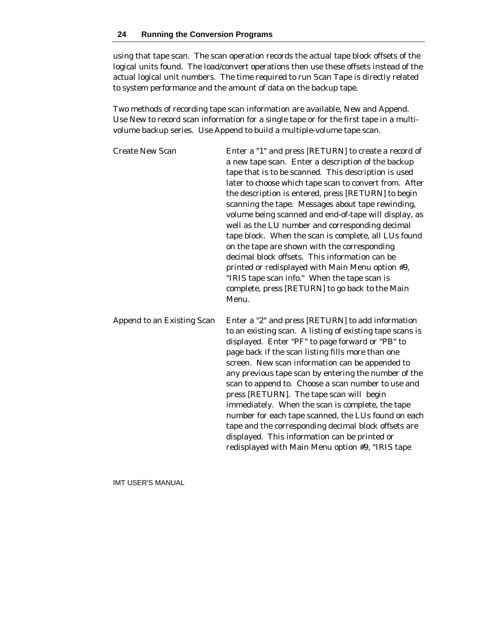using that tape scan. The scan operation records the actual tape block offsets of the logical units found. The load/convert operations then use these offsets instead of the actual logical unit numbers. The time required to run Scan Tape is directly related to system performance and the amount of data on the backup tape.

Two methods of recording tape scan information are available, New and Append. Use New to record scan information for a single tape or for the first tape in a multivolume backup series. Use Append to build a multiple-volume tape scan.

| <b>Create New Scan</b>     | Enter a "1" and press [RETURN] to create a record of<br>a new tape scan. Enter a description of the backup<br>tape that is to be scanned. This description is used<br>later to choose which tape scan to convert from. After<br>the description is entered, press [RETURN] to begin<br>scanning the tape. Messages about tape rewinding,<br>volume being scanned and end-of-tape will display, as<br>well as the LU number and corresponding decimal<br>tape block. When the scan is complete, all LUs found<br>on the tape are shown with the corresponding<br>decimal block offsets. This information can be<br>printed or redisplayed with Main Menu option #9,<br>"IRIS tape scan info." When the tape scan is<br>complete, press [RETURN] to go back to the Main<br>Menu. |
|----------------------------|--------------------------------------------------------------------------------------------------------------------------------------------------------------------------------------------------------------------------------------------------------------------------------------------------------------------------------------------------------------------------------------------------------------------------------------------------------------------------------------------------------------------------------------------------------------------------------------------------------------------------------------------------------------------------------------------------------------------------------------------------------------------------------|
| Append to an Existing Scan | Enter a "2" and press [RETURN] to add information<br>to an existing scan. A listing of existing tape scans is<br>displayed. Enter "PF" to page forward or "PB" to<br>page back if the scan listing fills more than one<br>screen. New scan information can be appended to<br>any previous tape scan by entering the number of the<br>scan to append to. Choose a scan number to use and<br>press [RETURN]. The tape scan will begin<br>immediately. When the scan is complete, the tape<br>number for each tape scanned, the LUs found on each<br>tape and the corresponding decimal block offsets are<br>displayed. This information can be printed or<br>redisplayed with Main Menu option #9, "IRIS tape                                                                    |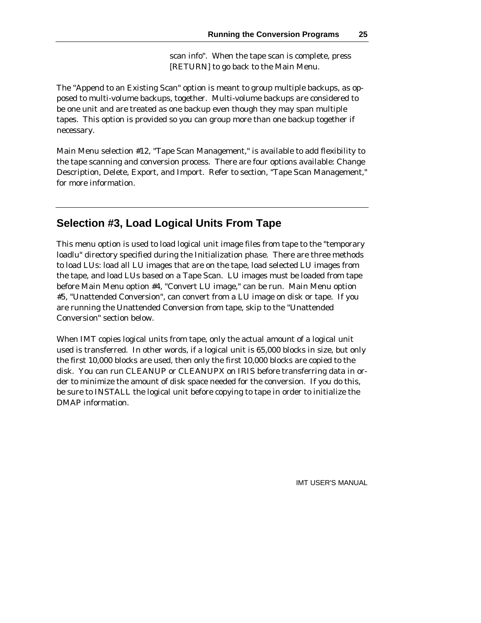scan info". When the tape scan is complete, press [RETURN] to go back to the Main Menu.

The "Append to an Existing Scan" option is meant to group multiple backups, as opposed to multi-volume backups, together. Multi-volume backups are considered to be one unit and are treated as one backup even though they may span multiple tapes. This option is provided so you can group more than one backup together if necessary.

Main Menu selection #12, "Tape Scan Management," is available to add flexibility to the tape scanning and conversion process. There are four options available: Change Description, Delete, Export, and Import. Refer to section, "Tape Scan Management," for more information.

### **Selection #3, Load Logical Units From Tape**

This menu option is used to load logical unit image files from tape to the "temporary loadlu" directory specified during the Initialization phase. There are three methods to load LUs: load all LU images that are on the tape, load selected LU images from the tape, and load LUs based on a Tape Scan. LU images must be loaded from tape before Main Menu option #4, "Convert LU image," can be run. Main Menu option #5, "Unattended Conversion", can convert from a LU image on disk or tape. If you are running the Unattended Conversion from tape, skip to the "Unattended Conversion" section below.

When IMT copies logical units from tape, only the actual amount of a logical unit used is transferred. In other words, if a logical unit is 65,000 blocks in size, but only the first 10,000 blocks are used, then only the first 10,000 blocks are copied to the disk. You can run CLEANUP or CLEANUPX on IRIS before transferring data in order to minimize the amount of disk space needed for the conversion. If you do this, be sure to INSTALL the logical unit before copying to tape in order to initialize the DMAP information.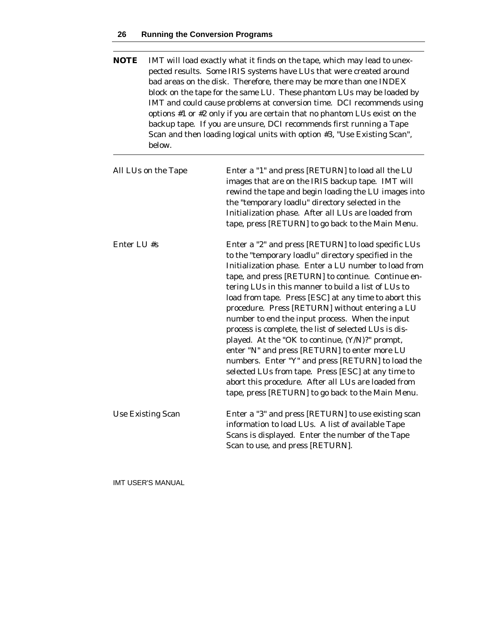#### **26 Running the Conversion Programs**

| <b>NOTE</b> | IMT will load exactly what it finds on the tape, which may lead to unex-<br>pected results. Some IRIS systems have LUs that were created around<br>bad areas on the disk. Therefore, there may be more than one INDEX<br>block on the tape for the same LU. These phantom LUs may be loaded by<br>IMT and could cause problems at conversion time. DCI recommends using<br>options #1 or #2 only if you are certain that no phantom LUs exist on the<br>backup tape. If you are unsure, DCI recommends first running a Tape<br>Scan and then loading logical units with option #3, "Use Existing Scan",<br>below. |                                                                                                                                                                                                                                                                                                                                                                                                                                                                                                                                                                                                                                                                                                                                                                                                                                     |  |
|-------------|-------------------------------------------------------------------------------------------------------------------------------------------------------------------------------------------------------------------------------------------------------------------------------------------------------------------------------------------------------------------------------------------------------------------------------------------------------------------------------------------------------------------------------------------------------------------------------------------------------------------|-------------------------------------------------------------------------------------------------------------------------------------------------------------------------------------------------------------------------------------------------------------------------------------------------------------------------------------------------------------------------------------------------------------------------------------------------------------------------------------------------------------------------------------------------------------------------------------------------------------------------------------------------------------------------------------------------------------------------------------------------------------------------------------------------------------------------------------|--|
|             | All LUs on the Tape                                                                                                                                                                                                                                                                                                                                                                                                                                                                                                                                                                                               | Enter a "1" and press [RETURN] to load all the LU<br>images that are on the IRIS backup tape. IMT will<br>rewind the tape and begin loading the LU images into<br>the "temporary loadlu" directory selected in the<br>Initialization phase. After all LUs are loaded from<br>tape, press [RETURN] to go back to the Main Menu.                                                                                                                                                                                                                                                                                                                                                                                                                                                                                                      |  |
| Enter LU #s |                                                                                                                                                                                                                                                                                                                                                                                                                                                                                                                                                                                                                   | Enter a "2" and press [RETURN] to load specific LUs<br>to the "temporary loadlu" directory specified in the<br>Initialization phase. Enter a LU number to load from<br>tape, and press [RETURN] to continue. Continue en-<br>tering LUs in this manner to build a list of LUs to<br>load from tape. Press [ESC] at any time to abort this<br>procedure. Press [RETURN] without entering a LU<br>number to end the input process. When the input<br>process is complete, the list of selected LUs is dis-<br>played. At the "OK to continue, (Y/N)?" prompt,<br>enter "N" and press [RETURN] to enter more LU<br>numbers. Enter "Y" and press [RETURN] to load the<br>selected LUs from tape. Press [ESC] at any time to<br>abort this procedure. After all LUs are loaded from<br>tape, press [RETURN] to go back to the Main Menu. |  |
|             | Use Existing Scan                                                                                                                                                                                                                                                                                                                                                                                                                                                                                                                                                                                                 | Enter a "3" and press [RETURN] to use existing scan<br>information to load LUs. A list of available Tape<br>Scans is displayed. Enter the number of the Tape                                                                                                                                                                                                                                                                                                                                                                                                                                                                                                                                                                                                                                                                        |  |

Scan to use, and press [RETURN].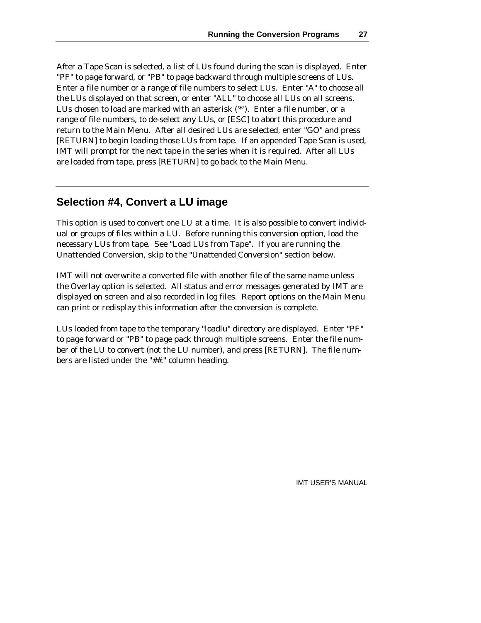After a Tape Scan is selected, a list of LUs found during the scan is displayed. Enter "PF" to page forward, or "PB" to page backward through multiple screens of LUs. Enter a file number or a range of file numbers to select LUs. Enter "A" to choose all the LUs displayed on that screen, or enter "ALL" to choose all LUs on all screens. LUs chosen to load are marked with an asterisk ('\*'). Enter a file number, or a range of file numbers, to de-select any LUs, or [ESC] to abort this procedure and return to the Main Menu. After all desired LUs are selected, enter "GO" and press [RETURN] to begin loading those LUs from tape. If an appended Tape Scan is used, IMT will prompt for the next tape in the series when it is required. After all LUs are loaded from tape, press [RETURN] to go back to the Main Menu.

#### **Selection #4, Convert a LU image**

This option is used to convert one LU at a time. It is also possible to convert individual or groups of files within a LU. Before running this conversion option, load the necessary LUs from tape. See "Load LUs from Tape". If you are running the Unattended Conversion, skip to the "Unattended Conversion" section below.

IMT will not overwrite a converted file with another file of the same name unless the Overlay option is selected. All status and error messages generated by IMT are displayed on screen and also recorded in log files. Report options on the Main Menu can print or redisplay this information after the conversion is complete.

LUs loaded from tape to the temporary "loadlu" directory are displayed. Enter "PF" to page forward or "PB" to page pack through multiple screens. Enter the file number of the LU to convert (not the LU number), and press [RETURN]. The file numbers are listed under the "##." column heading.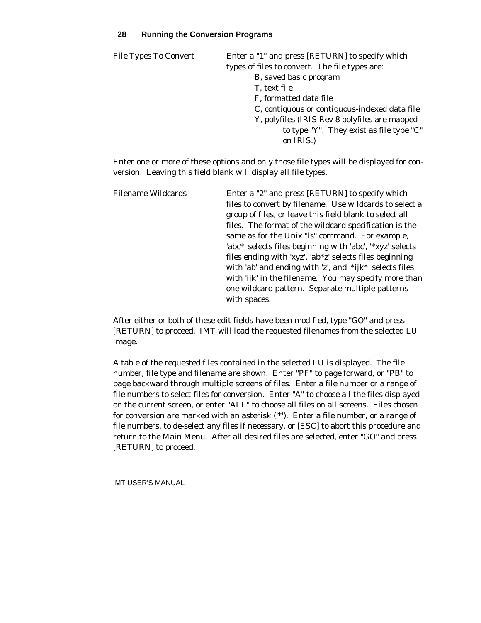| File Types To Convert | Enter a "1" and press [RETURN] to specify which<br>types of files to convert. The file types are:<br>B, saved basic program<br>T, text file<br>F, formatted data file<br>C, contiguous or contiguous-indexed data file<br>Y, polyfiles (IRIS Rev 8 polyfiles are mapped |
|-----------------------|-------------------------------------------------------------------------------------------------------------------------------------------------------------------------------------------------------------------------------------------------------------------------|
|                       | to type "Y". They exist as file type "C"<br>on IRIS.)                                                                                                                                                                                                                   |

Enter one or more of these options and only those file types will be displayed for conversion. Leaving this field blank will display all file types.

| Filename Wildcards | Enter a "2" and press [RETURN] to specify which           |
|--------------------|-----------------------------------------------------------|
|                    | files to convert by filename. Use wildcards to select a   |
|                    | group of files, or leave this field blank to select all   |
|                    | files. The format of the wildcard specification is the    |
|                    | same as for the Unix "Is" command. For example,           |
|                    | 'abc*' selects files beginning with 'abc', '*xyz' selects |
|                    | files ending with 'xyz', 'ab*z' selects files beginning   |
|                    | with 'ab' and ending with 'z', and '*ijk*' selects files  |
|                    | with 'ijk' in the filename. You may specify more than     |
|                    | one wildcard pattern. Separate multiple patterns          |
|                    | with spaces.                                              |

After either or both of these edit fields have been modified, type "GO" and press [RETURN] to proceed. IMT will load the requested filenames from the selected LU image.

A table of the requested files contained in the selected LU is displayed. The file number, file type and filename are shown. Enter "PF" to page forward, or "PB" to page backward through multiple screens of files. Enter a file number or a range of file numbers to select files for conversion. Enter "A" to choose all the files displayed on the current screen, or enter "ALL" to choose all files on all screens. Files chosen for conversion are marked with an asterisk ('\*'). Enter a file number, or a range of file numbers, to de-select any files if necessary, or [ESC] to abort this procedure and return to the Main Menu. After all desired files are selected, enter "GO" and press [RETURN] to proceed.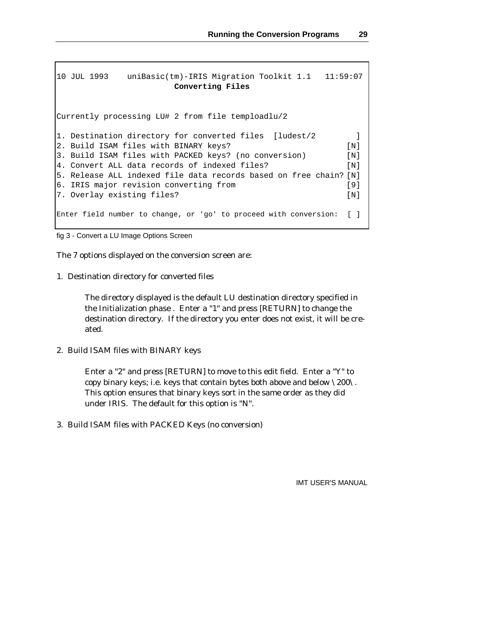```
10 JUL 1993 uniBasic(tm)-IRIS Migration Toolkit 1.1 11:59:07
                    Converting Files
Currently processing LU# 2 from file temploadlu/2
1. Destination directory for converted files [ludest/2 ]
2. Build ISAM files with BINARY keys? [N]
3. Build ISAM files with PACKED keys? (no conversion) [N]
4. Convert ALL data records of indexed files? [N]
5. Release ALL indexed file data records based on free chain? [N]
6. IRIS major revision converting from [9]
7. Overlay existing files? [N]
Enter field number to change, or 'go' to proceed with conversion: [ ]
```

```
fig 3 - Convert a LU Image Options Screen
```
The 7 options displayed on the conversion screen are:

1. Destination directory for converted files

The directory displayed is the default LU destination directory specified in the Initialization phase . Enter a "1" and press [RETURN] to change the destination directory. If the directory you enter does not exist, it will be created.

2. Build ISAM files with BINARY keys

Enter a "2" and press [RETURN] to move to this edit field. Enter a "Y" to copy binary keys; i.e. keys that contain bytes both above and below \200\. This option ensures that binary keys sort in the same order as they did under IRIS. The default for this option is "N".

3. Build ISAM files with PACKED Keys (no conversion)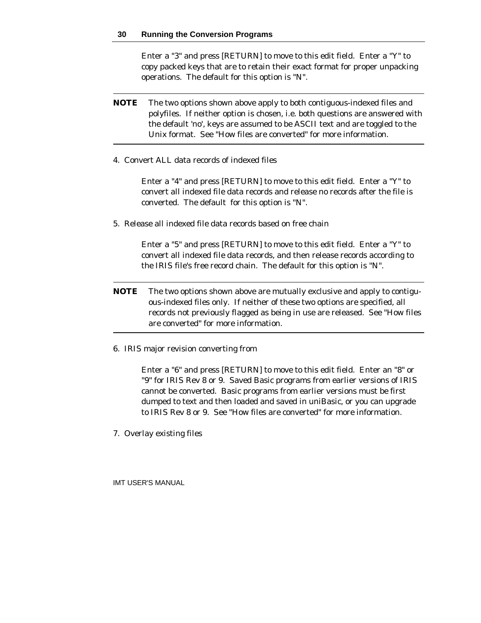Enter a "3" and press [RETURN] to move to this edit field. Enter a "Y" to copy packed keys that are to retain their exact format for proper unpacking operations. The default for this option is "N".

- **NOTE** The two options shown above apply to both contiguous-indexed files and polyfiles. If neither option is chosen, i.e. both questions are answered with the default 'no', keys are assumed to be ASCII text and are toggled to the Unix format. See "How files are converted" for more information.
- 4. Convert ALL data records of indexed files

Enter a "4" and press [RETURN] to move to this edit field. Enter a "Y" to convert all indexed file data records and release no records after the file is converted. The default for this option is "N".

5. Release all indexed file data records based on free chain

Enter a "5" and press [RETURN] to move to this edit field. Enter a "Y" to convert all indexed file data records, and then release records according to the IRIS file's free record chain. The default for this option is "N".

- **NOTE** The two options shown above are mutually exclusive and apply to contiguous-indexed files only. If neither of these two options are specified, all records not previously flagged as being in use are released. See "How files are converted" for more information.
- 6. IRIS major revision converting from

Enter a "6" and press [RETURN] to move to this edit field. Enter an "8" or "9" for IRIS Rev 8 or 9. Saved Basic programs from earlier versions of IRIS cannot be converted. Basic programs from earlier versions must be first dumped to text and then loaded and saved in uniBasic, or you can upgrade to IRIS Rev 8 or 9. See "How files are converted" for more information.

7. Overlay existing files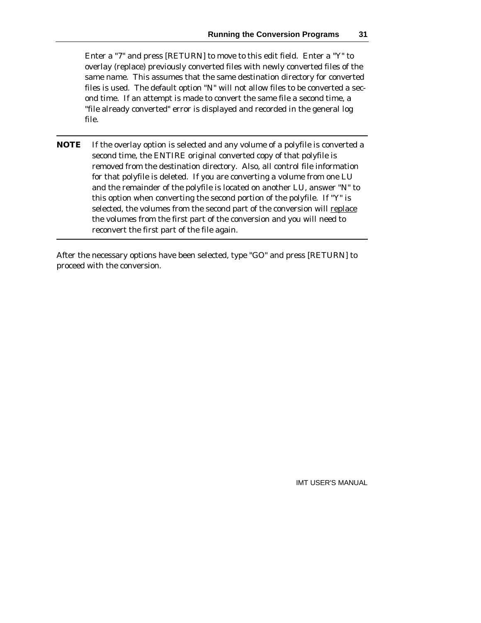Enter a "7" and press [RETURN] to move to this edit field. Enter a "Y" to overlay (replace) previously converted files with newly converted files of the same name. This assumes that the same destination directory for converted files is used. The default option "N" will not allow files to be converted a second time. If an attempt is made to convert the same file a second time, a "file already converted" error is displayed and recorded in the general log file.

**NOTE** If the overlay option is selected and any volume of a polyfile is converted a second time, the ENTIRE original converted copy of that polyfile is removed from the destination directory. Also, all control file information for that polyfile is deleted. If you are converting a volume from one LU and the remainder of the polyfile is located on another LU, answer "N" to this option when converting the second portion of the polyfile. If "Y" is selected, the volumes from the second part of the conversion will replace the volumes from the first part of the conversion and you will need to reconvert the first part of the file again.

After the necessary options have been selected, type "GO" and press [RETURN] to proceed with the conversion.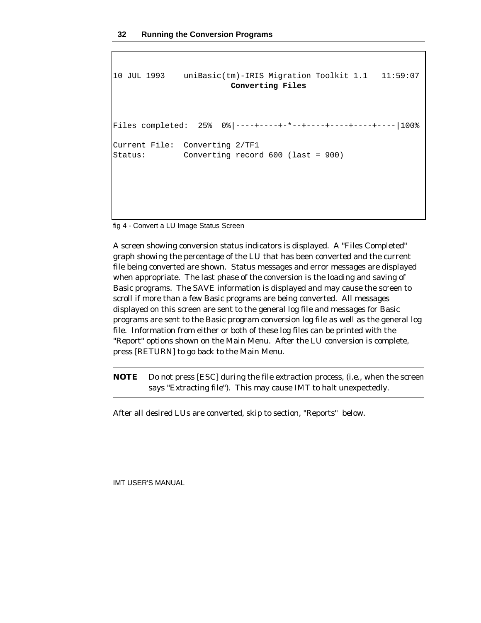```
10 JUL 1993 uniBasic(tm)-IRIS Migration Toolkit 1.1 11:59:07
                       Converting Files
Files completed: 25% 0%|----+----+-*--+----+----+----+----|100%
Current File: Converting 2/TF1
Status: Converting record 600 (last = 900)
```
fig 4 - Convert a LU Image Status Screen

A screen showing conversion status indicators is displayed. A "Files Completed" graph showing the percentage of the LU that has been converted and the current file being converted are shown. Status messages and error messages are displayed when appropriate. The last phase of the conversion is the loading and saving of Basic programs. The SAVE information is displayed and may cause the screen to scroll if more than a few Basic programs are being converted. All messages displayed on this screen are sent to the general log file and messages for Basic programs are sent to the Basic program conversion log file as well as the general log file. Information from either or both of these log files can be printed with the "Report" options shown on the Main Menu. After the LU conversion is complete, press [RETURN] to go back to the Main Menu.

**NOTE** Do not press [ESC] during the file extraction process, (i.e., when the screen says "Extracting file"). This may cause IMT to halt unexpectedly.

After all desired LUs are converted, skip to section, "Reports" below.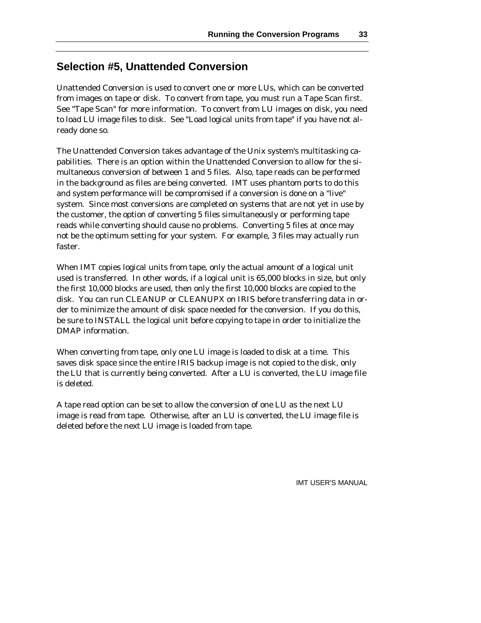# **Selection #5, Unattended Conversion**

Unattended Conversion is used to convert one or more LUs, which can be converted from images on tape or disk. To convert from tape, you must run a Tape Scan first. See "Tape Scan" for more information. To convert from LU images on disk, you need to load LU image files to disk. See "Load logical units from tape" if you have not already done so.

The Unattended Conversion takes advantage of the Unix system's multitasking capabilities. There is an option within the Unattended Conversion to allow for the simultaneous conversion of between 1 and 5 files. Also, tape reads can be performed in the background as files are being converted. IMT uses phantom ports to do this and system performance will be compromised if a conversion is done on a "live" system. Since most conversions are completed on systems that are not yet in use by the customer, the option of converting 5 files simultaneously or performing tape reads while converting should cause no problems. Converting 5 files at once may not be the optimum setting for your system. For example, 3 files may actually run faster.

When IMT copies logical units from tape, only the actual amount of a logical unit used is transferred. In other words, if a logical unit is 65,000 blocks in size, but only the first 10,000 blocks are used, then only the first 10,000 blocks are copied to the disk. You can run CLEANUP or CLEANUPX on IRIS before transferring data in order to minimize the amount of disk space needed for the conversion. If you do this, be sure to INSTALL the logical unit before copying to tape in order to initialize the DMAP information.

When converting from tape, only one LU image is loaded to disk at a time. This saves disk space since the entire IRIS backup image is not copied to the disk, only the LU that is currently being converted. After a LU is converted, the LU image file is deleted.

A tape read option can be set to allow the conversion of one LU as the next LU image is read from tape. Otherwise, after an LU is converted, the LU image file is deleted before the next LU image is loaded from tape.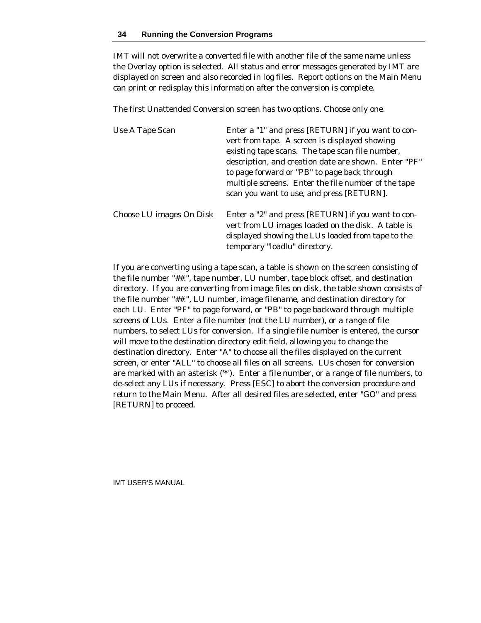IMT will not overwrite a converted file with another file of the same name unless the Overlay option is selected. All status and error messages generated by IMT are displayed on screen and also recorded in log files. Report options on the Main Menu can print or redisplay this information after the conversion is complete.

The first Unattended Conversion screen has two options. Choose only one.

| Use A Tape Scan          | Enter a "1" and press [RETURN] if you want to con-<br>vert from tape. A screen is displayed showing<br>existing tape scans. The tape scan file number,<br>description, and creation date are shown. Enter "PF"<br>to page forward or "PB" to page back through<br>multiple screens. Enter the file number of the tape<br>scan you want to use, and press [RETURN]. |
|--------------------------|--------------------------------------------------------------------------------------------------------------------------------------------------------------------------------------------------------------------------------------------------------------------------------------------------------------------------------------------------------------------|
| Choose LU images On Disk | Enter a "2" and press [RETURN] if you want to con-<br>vert from LU images loaded on the disk. A table is<br>displayed showing the LUs loaded from tape to the<br>temporary "loadlu" directory.                                                                                                                                                                     |

If you are converting using a tape scan, a table is shown on the screen consisting of the file number "##.", tape number, LU number, tape block offset, and destination directory. If you are converting from image files on disk, the table shown consists of the file number "##.", LU number, image filename, and destination directory for each LU. Enter "PF" to page forward, or "PB" to page backward through multiple screens of LUs. Enter a file number (not the LU number), or a range of file numbers, to select LUs for conversion. If a single file number is entered, the cursor will move to the destination directory edit field, allowing you to change the destination directory. Enter "A" to choose all the files displayed on the current screen, or enter "ALL" to choose all files on all screens. LUs chosen for conversion are marked with an asterisk ('\*'). Enter a file number, or a range of file numbers, to de-select any LUs if necessary. Press [ESC] to abort the conversion procedure and return to the Main Menu. After all desired files are selected, enter "GO" and press [RETURN] to proceed.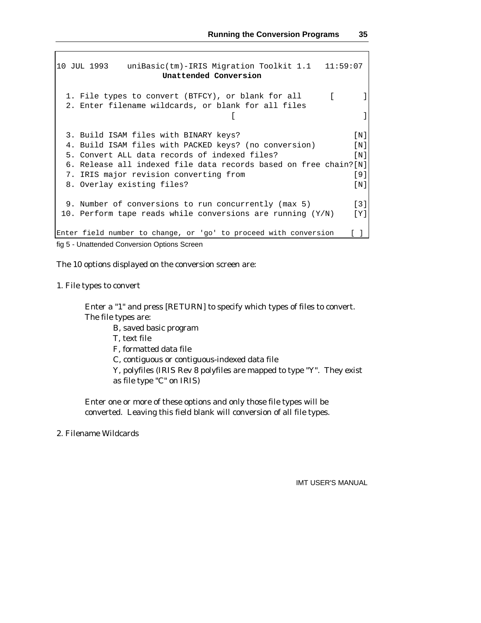```
10 JUL 1993 uniBasic(tm)-IRIS Migration Toolkit 1.1 11:59:07
                  Unattended Conversion
 1. File types to convert (BTFCY), or blank for all [ ]
 2. Enter filename wildcards, or blank for all files
                              [3. Build ISAM files with BINARY keys? [N]
 4. Build ISAM files with PACKED keys? (no conversion) [N]
 5. Convert ALL data records of indexed files? [N]
 6. Release all indexed file data records based on free chain?[N]
 7. IRIS major revision converting from [9]
 8. Overlay existing files? [N]
 9. Number of conversions to run concurrently (max 5) [3]
10. Perform tape reads while conversions are running (Y/N) [Y]
Enter field number to change, or 'go' to proceed with conversion [ ]
```
fig 5 - Unattended Conversion Options Screen

The 10 options displayed on the conversion screen are:

1. File types to convert

Enter a "1" and press [RETURN] to specify which types of files to convert. The file types are:

- B, saved basic program
- T, text file

F, formatted data file

C, contiguous or contiguous-indexed data file

Y, polyfiles (IRIS Rev 8 polyfiles are mapped to type "Y". They exist as file type "C" on IRIS)

Enter one or more of these options and only those file types will be converted. Leaving this field blank will conversion of all file types.

2. Filename Wildcards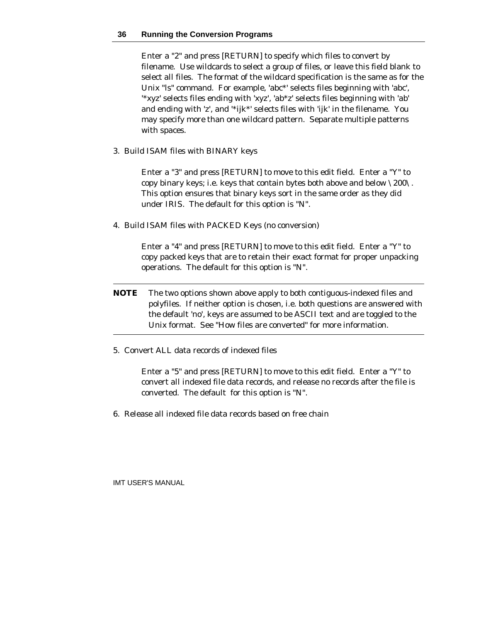#### **36 Running the Conversion Programs**

Enter a "2" and press [RETURN] to specify which files to convert by filename. Use wildcards to select a group of files, or leave this field blank to select all files. The format of the wildcard specification is the same as for the Unix "ls" command. For example, 'abc\*' selects files beginning with 'abc', '\*xyz' selects files ending with 'xyz', 'ab\*z' selects files beginning with 'ab' and ending with 'z', and '\*ijk\*' selects files with 'ijk' in the filename. You may specify more than one wildcard pattern. Separate multiple patterns with spaces.

3. Build ISAM files with BINARY keys

Enter a "3" and press [RETURN] to move to this edit field. Enter a "Y" to copy binary keys; i.e. keys that contain bytes both above and below \200\. This option ensures that binary keys sort in the same order as they did under IRIS. The default for this option is "N".

4. Build ISAM files with PACKED Keys (no conversion)

Enter a "4" and press [RETURN] to move to this edit field. Enter a "Y" to copy packed keys that are to retain their exact format for proper unpacking operations. The default for this option is "N".

- **NOTE** The two options shown above apply to both contiguous-indexed files and polyfiles. If neither option is chosen, i.e. both questions are answered with the default 'no', keys are assumed to be ASCII text and are toggled to the Unix format. See "How files are converted" for more information.
- 5. Convert ALL data records of indexed files

Enter a "5" and press [RETURN] to move to this edit field. Enter a "Y" to convert all indexed file data records, and release no records after the file is converted. The default for this option is "N".

6. Release all indexed file data records based on free chain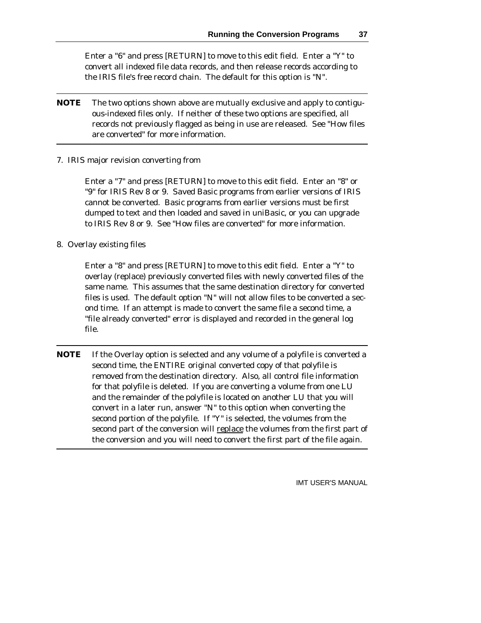Enter a "6" and press [RETURN] to move to this edit field. Enter a "Y" to convert all indexed file data records, and then release records according to the IRIS file's free record chain. The default for this option is "N".

- **NOTE** The two options shown above are mutually exclusive and apply to contiguous-indexed files only. If neither of these two options are specified, all records not previously flagged as being in use are released. See "How files are converted" for more information.
- 7. IRIS major revision converting from

Enter a "7" and press [RETURN] to move to this edit field. Enter an "8" or "9" for IRIS Rev 8 or 9. Saved Basic programs from earlier versions of IRIS cannot be converted. Basic programs from earlier versions must be first dumped to text and then loaded and saved in uniBasic, or you can upgrade to IRIS Rev 8 or 9. See "How files are converted" for more information.

8. Overlay existing files

Enter a "8" and press [RETURN] to move to this edit field. Enter a "Y" to overlay (replace) previously converted files with newly converted files of the same name. This assumes that the same destination directory for converted files is used. The default option "N" will not allow files to be converted a second time. If an attempt is made to convert the same file a second time, a "file already converted" error is displayed and recorded in the general log file.

**NOTE** If the Overlay option is selected and any volume of a polyfile is converted a second time, the ENTIRE original converted copy of that polyfile is removed from the destination directory. Also, all control file information for that polyfile is deleted. If you are converting a volume from one LU and the remainder of the polyfile is located on another LU that you will convert in a later run, answer "N" to this option when converting the second portion of the polyfile. If "Y" is selected, the volumes from the second part of the conversion will replace the volumes from the first part of the conversion and you will need to convert the first part of the file again.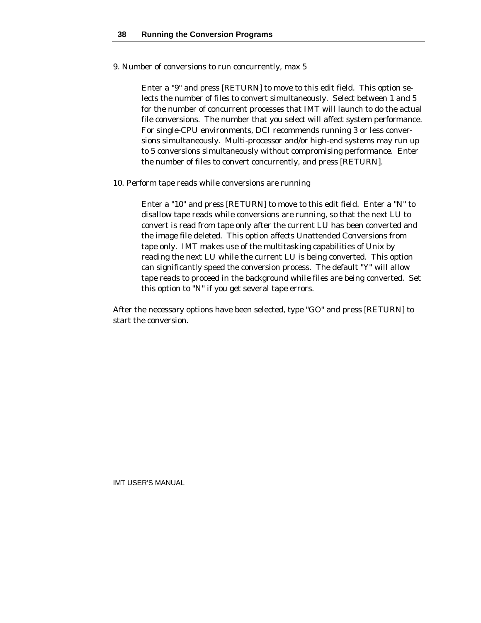9. Number of conversions to run concurrently, max 5

Enter a "9" and press [RETURN] to move to this edit field. This option selects the number of files to convert simultaneously. Select between 1 and 5 for the number of concurrent processes that IMT will launch to do the actual file conversions. The number that you select will affect system performance. For single-CPU environments, DCI recommends running 3 or less conversions simultaneously. Multi-processor and/or high-end systems may run up to 5 conversions simultaneously without compromising performance. Enter the number of files to convert concurrently, and press [RETURN].

10. Perform tape reads while conversions are running

Enter a "10" and press [RETURN] to move to this edit field. Enter a "N" to disallow tape reads while conversions are running, so that the next LU to convert is read from tape only after the current LU has been converted and the image file deleted. This option affects Unattended Conversions from tape only. IMT makes use of the multitasking capabilities of Unix by reading the next LU while the current LU is being converted. This option can significantly speed the conversion process. The default "Y" will allow tape reads to proceed in the background while files are being converted. Set this option to "N" if you get several tape errors.

After the necessary options have been selected, type "GO" and press [RETURN] to start the conversion.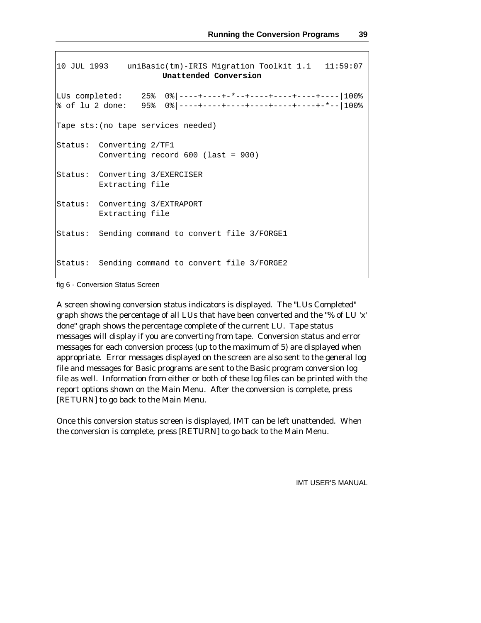```
10 JUL 1993 uniBasic(tm)-IRIS Migration Toolkit 1.1 11:59:07
                     Unattended Conversion
LUs completed: 25% 0%|----+----+-*--+-----+-----+----+100%
% of lu 2 done: 95% 0%|----+----+----+----+----+----+-*--|100%
Tape sts:(no tape services needed)
Status: Converting 2/TF1
        Converting record 600 (last = 900)
Status: Converting 3/EXERCISER
        Extracting file
Status: Converting 3/EXTRAPORT
       Extracting file
Status: Sending command to convert file 3/FORGE1
Status: Sending command to convert file 3/FORGE2
```
fig 6 - Conversion Status Screen

A screen showing conversion status indicators is displayed. The "LUs Completed" graph shows the percentage of all LUs that have been converted and the "% of LU 'x' done" graph shows the percentage complete of the current LU. Tape status messages will display if you are converting from tape. Conversion status and error messages for each conversion process (up to the maximum of 5) are displayed when appropriate. Error messages displayed on the screen are also sent to the general log file and messages for Basic programs are sent to the Basic program conversion log file as well. Information from either or both of these log files can be printed with the report options shown on the Main Menu. After the conversion is complete, press [RETURN] to go back to the Main Menu.

Once this conversion status screen is displayed, IMT can be left unattended. When the conversion is complete, press [RETURN] to go back to the Main Menu.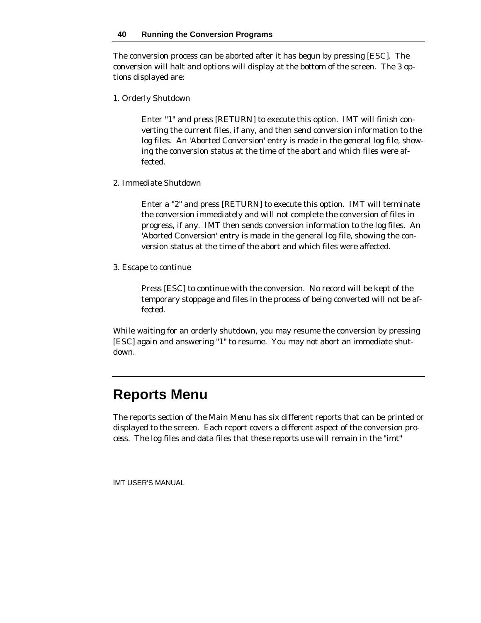The conversion process can be aborted after it has begun by pressing [ESC]. The conversion will halt and options will display at the bottom of the screen. The 3 options displayed are:

1. Orderly Shutdown

Enter "1" and press [RETURN] to execute this option. IMT will finish converting the current files, if any, and then send conversion information to the log files. An 'Aborted Conversion' entry is made in the general log file, showing the conversion status at the time of the abort and which files were affected.

2. Immediate Shutdown

Enter a "2" and press [RETURN] to execute this option. IMT will terminate the conversion immediately and will not complete the conversion of files in progress, if any. IMT then sends conversion information to the log files. An 'Aborted Conversion' entry is made in the general log file, showing the conversion status at the time of the abort and which files were affected.

3. Escape to continue

Press [ESC] to continue with the conversion. No record will be kept of the temporary stoppage and files in the process of being converted will not be affected.

While waiting for an orderly shutdown, you may resume the conversion by pressing [ESC] again and answering "1" to resume. You may not abort an immediate shutdown.

# **Reports Menu**

The reports section of the Main Menu has six different reports that can be printed or displayed to the screen. Each report covers a different aspect of the conversion process. The log files and data files that these reports use will remain in the "imt"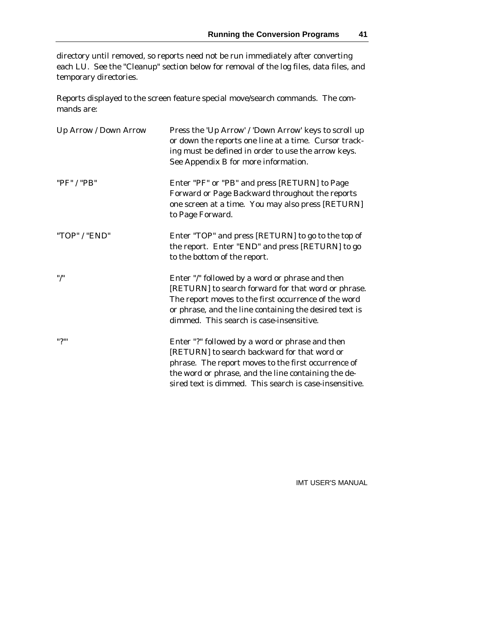directory until removed, so reports need not be run immediately after converting each LU. See the "Cleanup" section below for removal of the log files, data files, and temporary directories.

Reports displayed to the screen feature special move/search commands. The commands are:

| Up Arrow / Down Arrow | Press the 'Up Arrow' / 'Down Arrow' keys to scroll up<br>or down the reports one line at a time. Cursor track-<br>ing must be defined in order to use the arrow keys.<br>See Appendix B for more information.                                                           |
|-----------------------|-------------------------------------------------------------------------------------------------------------------------------------------------------------------------------------------------------------------------------------------------------------------------|
| "PF" / "PB"           | Enter "PF" or "PB" and press [RETURN] to Page<br>Forward or Page Backward throughout the reports<br>one screen at a time. You may also press [RETURN]<br>to Page Forward.                                                                                               |
| "TOP" / "END"         | Enter "TOP" and press [RETURN] to go to the top of<br>the report. Enter "END" and press [RETURN] to go<br>to the bottom of the report.                                                                                                                                  |
| $"$ /"                | Enter "/" followed by a word or phrase and then<br>[RETURN] to search forward for that word or phrase.<br>The report moves to the first occurrence of the word<br>or phrase, and the line containing the desired text is<br>dimmed. This search is case-insensitive.    |
| ייי?"                 | Enter "?" followed by a word or phrase and then<br>[RETURN] to search backward for that word or<br>phrase. The report moves to the first occurrence of<br>the word or phrase, and the line containing the de-<br>sired text is dimmed. This search is case-insensitive. |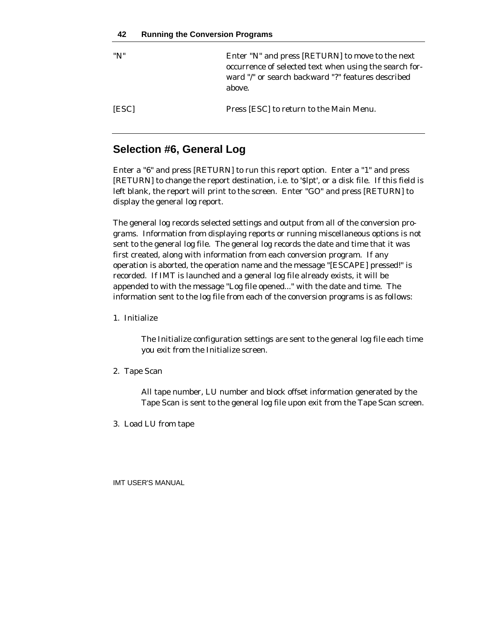| "N"          | Enter "N" and press [RETURN] to move to the next<br>occurrence of selected text when using the search for-<br>ward "/" or search backward "?" features described<br>above. |
|--------------|----------------------------------------------------------------------------------------------------------------------------------------------------------------------------|
| <b>IESCI</b> | Press [ESC] to return to the Main Menu.                                                                                                                                    |

# **Selection #6, General Log**

Enter a "6" and press [RETURN] to run this report option. Enter a "1" and press [RETURN] to change the report destination, i.e. to '\$lpt', or a disk file. If this field is left blank, the report will print to the screen. Enter "GO" and press [RETURN] to display the general log report.

The general log records selected settings and output from all of the conversion programs. Information from displaying reports or running miscellaneous options is not sent to the general log file. The general log records the date and time that it was first created, along with information from each conversion program. If any operation is aborted, the operation name and the message "[ESCAPE] pressed!" is recorded. If IMT is launched and a general log file already exists, it will be appended to with the message "Log file opened..." with the date and time. The information sent to the log file from each of the conversion programs is as follows:

1. Initialize

The Initialize configuration settings are sent to the general log file each time you exit from the Initialize screen.

2. Tape Scan

All tape number, LU number and block offset information generated by the Tape Scan is sent to the general log file upon exit from the Tape Scan screen.

3. Load LU from tape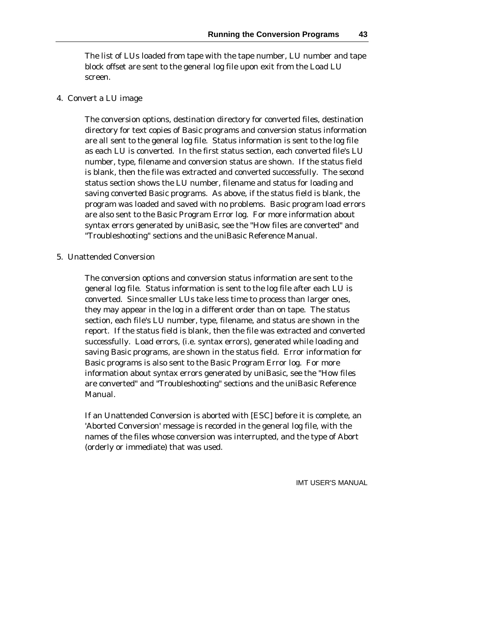The list of LUs loaded from tape with the tape number, LU number and tape block offset are sent to the general log file upon exit from the Load LU screen.

4. Convert a LU image

The conversion options, destination directory for converted files, destination directory for text copies of Basic programs and conversion status information are all sent to the general log file. Status information is sent to the log file as each LU is converted. In the first status section, each converted file's LU number, type, filename and conversion status are shown. If the status field is blank, then the file was extracted and converted successfully. The second status section shows the LU number, filename and status for loading and saving converted Basic programs. As above, if the status field is blank, the program was loaded and saved with no problems. Basic program load errors are also sent to the Basic Program Error log. For more information about syntax errors generated by uniBasic, see the "How files are converted" and "Troubleshooting" sections and the uniBasic Reference Manual.

5. Unattended Conversion

The conversion options and conversion status information are sent to the general log file. Status information is sent to the log file after each LU is converted. Since smaller LUs take less time to process than larger ones, they may appear in the log in a different order than on tape. The status section, each file's LU number, type, filename, and status are shown in the report. If the status field is blank, then the file was extracted and converted successfully. Load errors, (i.e. syntax errors), generated while loading and saving Basic programs, are shown in the status field. Error information for Basic programs is also sent to the Basic Program Error log. For more information about syntax errors generated by uniBasic, see the "How files are converted" and "Troubleshooting" sections and the uniBasic Reference Manual.

If an Unattended Conversion is aborted with [ESC] before it is complete, an 'Aborted Conversion' message is recorded in the general log file, with the names of the files whose conversion was interrupted, and the type of Abort (orderly or immediate) that was used.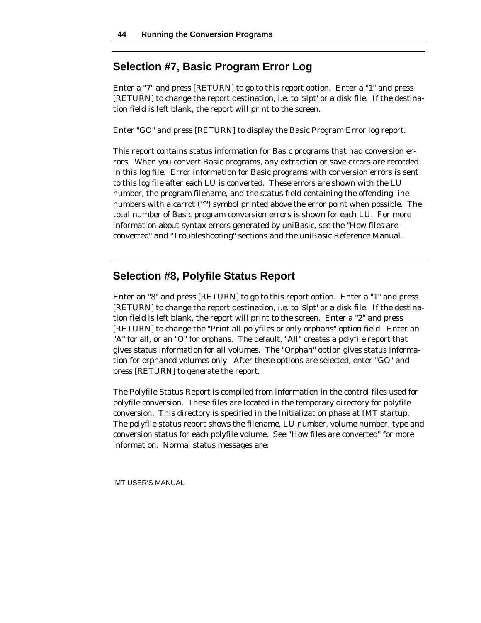# **Selection #7, Basic Program Error Log**

Enter a "7" and press [RETURN] to go to this report option. Enter a "1" and press [RETURN] to change the report destination, i.e. to '\$lpt' or a disk file. If the destination field is left blank, the report will print to the screen.

Enter "GO" and press [RETURN] to display the Basic Program Error log report.

This report contains status information for Basic programs that had conversion errors. When you convert Basic programs, any extraction or save errors are recorded in this log file. Error information for Basic programs with conversion errors is sent to this log file after each LU is converted. These errors are shown with the LU number, the program filename, and the status field containing the offending line numbers with a carrot (' $\gamma$ ') symbol printed above the error point when possible. The total number of Basic program conversion errors is shown for each LU. For more information about syntax errors generated by uniBasic, see the "How files are converted" and "Troubleshooting" sections and the uniBasic Reference Manual.

# **Selection #8, Polyfile Status Report**

Enter an "8" and press [RETURN] to go to this report option. Enter a "1" and press [RETURN] to change the report destination, i.e. to '\$lpt' or a disk file. If the destination field is left blank, the report will print to the screen. Enter a "2" and press [RETURN] to change the "Print all polyfiles or only orphans" option field. Enter an "A" for all, or an "O" for orphans. The default, "All" creates a polyfile report that gives status information for all volumes. The "Orphan" option gives status information for orphaned volumes only. After these options are selected, enter "GO" and press [RETURN] to generate the report.

The Polyfile Status Report is compiled from information in the control files used for polyfile conversion. These files are located in the temporary directory for polyfile conversion. This directory is specified in the Initialization phase at IMT startup. The polyfile status report shows the filename, LU number, volume number, type and conversion status for each polyfile volume. See "How files are converted" for more information. Normal status messages are: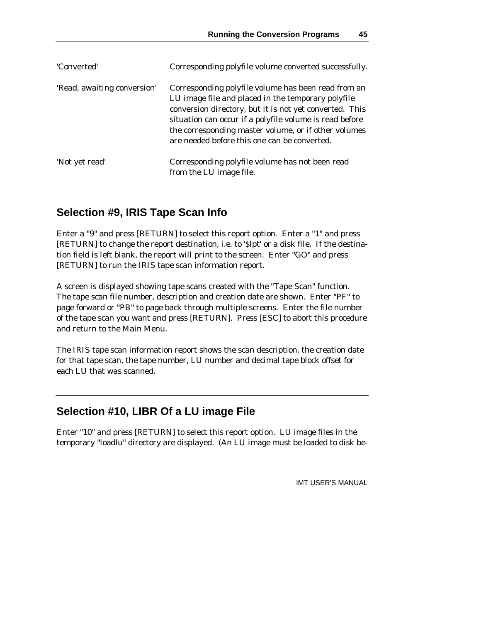| 'Converted'                 | Corresponding polyfile volume converted successfully.                                                                                                                                                                                                                                                                                   |
|-----------------------------|-----------------------------------------------------------------------------------------------------------------------------------------------------------------------------------------------------------------------------------------------------------------------------------------------------------------------------------------|
| 'Read, awaiting conversion' | Corresponding polyfile volume has been read from an<br>LU image file and placed in the temporary polyfile<br>conversion directory, but it is not yet converted. This<br>situation can occur if a polyfile volume is read before<br>the corresponding master volume, or if other volumes<br>are needed before this one can be converted. |
| 'Not yet read'              | Corresponding polyfile volume has not been read<br>from the LU image file.                                                                                                                                                                                                                                                              |

# **Selection #9, IRIS Tape Scan Info**

Enter a "9" and press [RETURN] to select this report option. Enter a "1" and press [RETURN] to change the report destination, i.e. to '\$lpt' or a disk file. If the destination field is left blank, the report will print to the screen. Enter "GO" and press [RETURN] to run the IRIS tape scan information report.

A screen is displayed showing tape scans created with the "Tape Scan" function. The tape scan file number, description and creation date are shown. Enter "PF" to page forward or "PB" to page back through multiple screens. Enter the file number of the tape scan you want and press [RETURN]. Press [ESC] to abort this procedure and return to the Main Menu.

The IRIS tape scan information report shows the scan description, the creation date for that tape scan, the tape number, LU number and decimal tape block offset for each LU that was scanned.

# **Selection #10, LIBR Of a LU image File**

Enter "10" and press [RETURN] to select this report option. LU image files in the temporary "loadlu" directory are displayed. (An LU image must be loaded to disk be-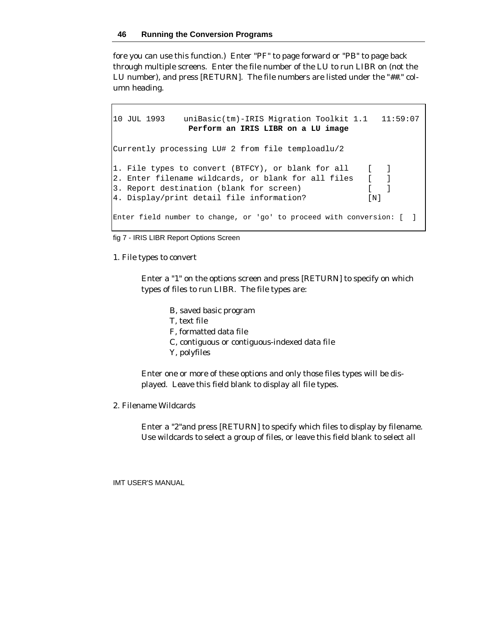fore you can use this function.) Enter "PF" to page forward or "PB" to page back through multiple screens. Enter the file number of the LU to run LIBR on (not the LU number), and press [RETURN]. The file numbers are listed under the "##." column heading.

```
10 JUL 1993 uniBasic(tm)-IRIS Migration Toolkit 1.1 11:59:07
              Perform an IRIS LIBR on a LU image
Currently processing LU# 2 from file temploadlu/2
1. File types to convert (BTFCY), or blank for all [ ]
2. Enter filename wildcards, or blank for all files [ ]
3. Report destination (blank for screen) [ ]
4. Display/print detail file information? [N]
Enter field number to change, or 'go' to proceed with conversion: [ ]
```
fig 7 - IRIS LIBR Report Options Screen

1. File types to convert

Enter a "1" on the options screen and press [RETURN] to specify on which types of files to run LIBR. The file types are:

- B, saved basic program
- T, text file
- F, formatted data file
- C, contiguous or contiguous-indexed data file
- Y, polyfiles

Enter one or more of these options and only those files types will be displayed. Leave this field blank to display all file types.

2. Filename Wildcards

Enter a "2"and press [RETURN] to specify which files to display by filename. Use wildcards to select a group of files, or leave this field blank to select all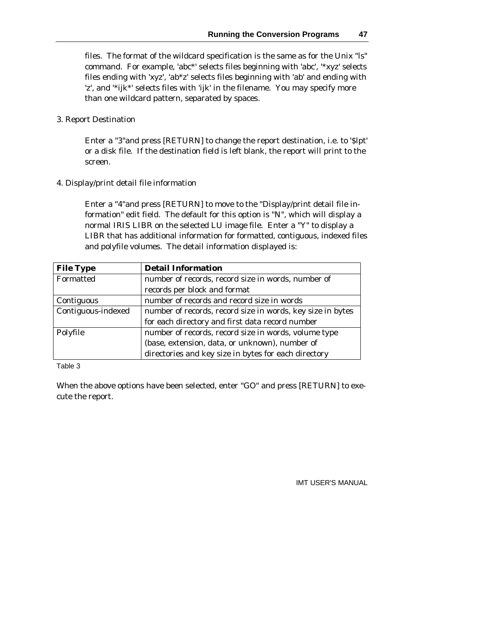files. The format of the wildcard specification is the same as for the Unix "ls" command. For example, 'abc\*' selects files beginning with 'abc', '\*xyz' selects files ending with 'xyz', 'ab\*z' selects files beginning with 'ab' and ending with 'z', and '\*ijk\*' selects files with 'ijk' in the filename. You may specify more than one wildcard pattern, separated by spaces.

3. Report Destination

Enter a "3"and press [RETURN] to change the report destination, i.e. to '\$lpt' or a disk file. If the destination field is left blank, the report will print to the screen.

4. Display/print detail file information

Enter a "4"and press [RETURN] to move to the "Display/print detail file information" edit field. The default for this option is "N", which will display a normal IRIS LIBR on the selected LU image file. Enter a "Y" to display a LIBR that has additional information for formatted, contiguous, indexed files and polyfile volumes. The detail information displayed is:

| <b>File Type</b>   | <b>Detail Information</b>                                  |
|--------------------|------------------------------------------------------------|
| Formatted          | number of records, record size in words, number of         |
|                    | records per block and format                               |
| Contiguous         | number of records and record size in words                 |
| Contiguous-indexed | number of records, record size in words, key size in bytes |
|                    | for each directory and first data record number            |
| Polyfile           | number of records, record size in words, volume type       |
|                    | (base, extension, data, or unknown), number of             |
|                    | directories and key size in bytes for each directory       |

#### Table 3

When the above options have been selected, enter "GO" and press [RETURN] to execute the report.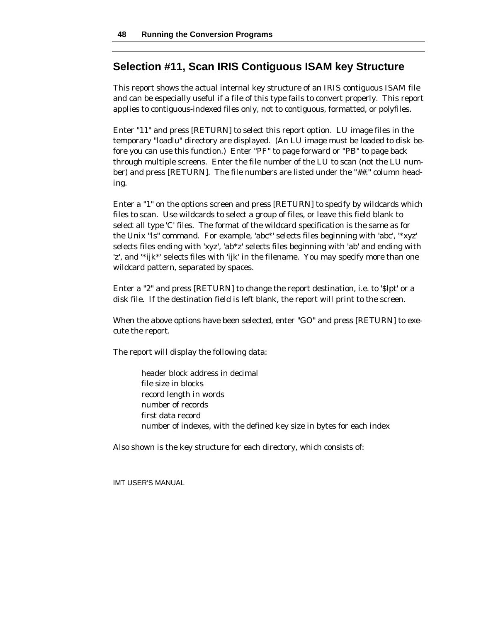## **Selection #11, Scan IRIS Contiguous ISAM key Structure**

This report shows the actual internal key structure of an IRIS contiguous ISAM file and can be especially useful if a file of this type fails to convert properly. This report applies to contiguous-indexed files only, not to contiguous, formatted, or polyfiles.

Enter "11" and press [RETURN] to select this report option. LU image files in the temporary "loadlu" directory are displayed. (An LU image must be loaded to disk before you can use this function.) Enter "PF" to page forward or "PB" to page back through multiple screens. Enter the file number of the LU to scan (not the LU number) and press [RETURN]. The file numbers are listed under the "##." column heading.

Enter a "1" on the options screen and press [RETURN] to specify by wildcards which files to scan. Use wildcards to select a group of files, or leave this field blank to select all type 'C' files. The format of the wildcard specification is the same as for the Unix "ls" command. For example, 'abc\*' selects files beginning with 'abc', '\*xyz' selects files ending with 'xyz', 'ab\*z' selects files beginning with 'ab' and ending with 'z', and '\*ijk\*' selects files with 'ijk' in the filename. You may specify more than one wildcard pattern, separated by spaces.

Enter a "2" and press [RETURN] to change the report destination, i.e. to '\$lpt' or a disk file. If the destination field is left blank, the report will print to the screen.

When the above options have been selected, enter "GO" and press [RETURN] to execute the report.

The report will display the following data:

header block address in decimal file size in blocks record length in words number of records first data record number of indexes, with the defined key size in bytes for each index

Also shown is the key structure for each directory, which consists of: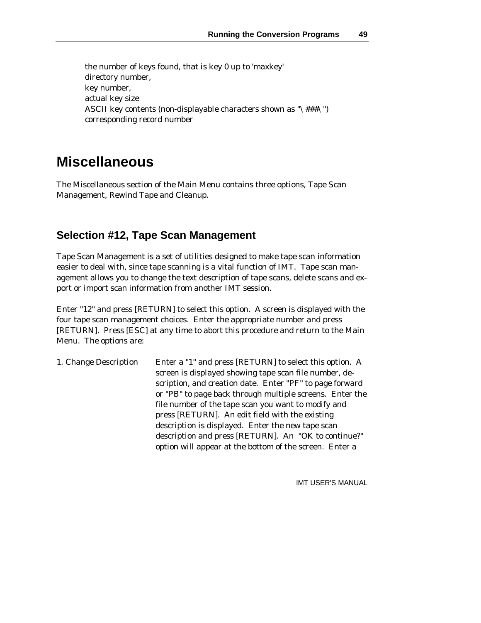the number of keys found, that is key 0 up to 'maxkey' directory number, key number, actual key size ASCII key contents (non-displayable characters shown as "\###\") corresponding record number

# **Miscellaneous**

The Miscellaneous section of the Main Menu contains three options, Tape Scan Management, Rewind Tape and Cleanup.

# **Selection #12, Tape Scan Management**

Tape Scan Management is a set of utilities designed to make tape scan information easier to deal with, since tape scanning is a vital function of IMT. Tape scan management allows you to change the text description of tape scans, delete scans and export or import scan information from another IMT session.

Enter "12" and press [RETURN] to select this option. A screen is displayed with the four tape scan management choices. Enter the appropriate number and press [RETURN]. Press [ESC] at any time to abort this procedure and return to the Main Menu. The options are:

1. Change Description Enter a "1" and press [RETURN] to select this option. A screen is displayed showing tape scan file number, description, and creation date. Enter "PF" to page forward or "PB" to page back through multiple screens. Enter the file number of the tape scan you want to modify and press [RETURN]. An edit field with the existing description is displayed. Enter the new tape scan description and press [RETURN]. An "OK to continue?" option will appear at the bottom of the screen. Enter a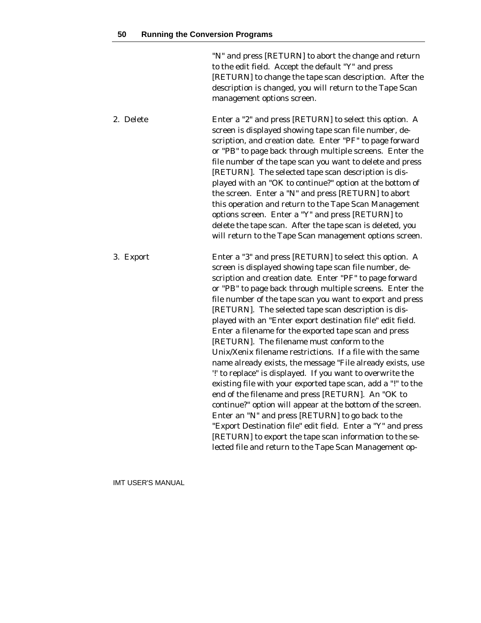"N" and press [RETURN] to abort the change and return to the edit field. Accept the default "Y" and press [RETURN] to change the tape scan description. After the description is changed, you will return to the Tape Scan management options screen.

2. Delete Enter a "2" and press [RETURN] to select this option. A screen is displayed showing tape scan file number, description, and creation date. Enter "PF" to page forward or "PB" to page back through multiple screens. Enter the file number of the tape scan you want to delete and press [RETURN]. The selected tape scan description is displayed with an "OK to continue?" option at the bottom of the screen. Enter a "N" and press [RETURN] to abort this operation and return to the Tape Scan Management options screen. Enter a "Y" and press [RETURN] to delete the tape scan. After the tape scan is deleted, you will return to the Tape Scan management options screen.

3. Export Enter a "3" and press [RETURN] to select this option. A screen is displayed showing tape scan file number, description and creation date. Enter "PF" to page forward or "PB" to page back through multiple screens. Enter the file number of the tape scan you want to export and press [RETURN]. The selected tape scan description is displayed with an "Enter export destination file" edit field. Enter a filename for the exported tape scan and press [RETURN]. The filename must conform to the Unix/Xenix filename restrictions. If a file with the same name already exists, the message "File already exists, use '!' to replace" is displayed. If you want to overwrite the existing file with your exported tape scan, add a "!" to the end of the filename and press [RETURN]. An "OK to continue?" option will appear at the bottom of the screen. Enter an "N" and press [RETURN] to go back to the "Export Destination file" edit field. Enter a "Y" and press [RETURN] to export the tape scan information to the selected file and return to the Tape Scan Management op-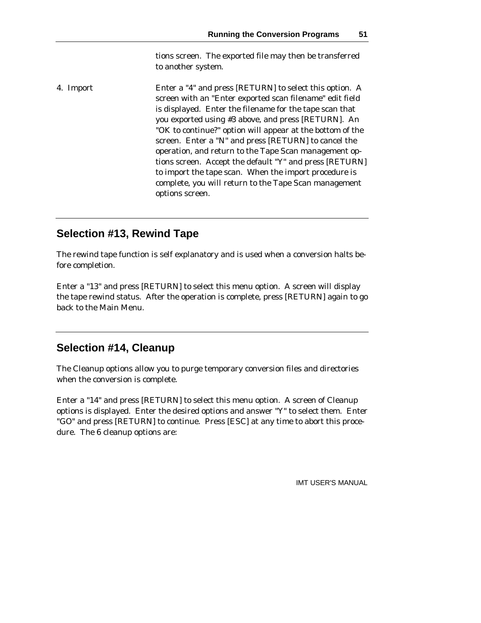tions screen. The exported file may then be transferred to another system.

4. Import Enter a "4" and press [RETURN] to select this option. A screen with an "Enter exported scan filename" edit field is displayed. Enter the filename for the tape scan that you exported using #3 above, and press [RETURN]. An "OK to continue?" option will appear at the bottom of the screen. Enter a "N" and press [RETURN] to cancel the operation, and return to the Tape Scan management options screen. Accept the default "Y" and press [RETURN] to import the tape scan. When the import procedure is complete, you will return to the Tape Scan management options screen.

# **Selection #13, Rewind Tape**

The rewind tape function is self explanatory and is used when a conversion halts before completion.

Enter a "13" and press [RETURN] to select this menu option. A screen will display the tape rewind status. After the operation is complete, press [RETURN] again to go back to the Main Menu.

# **Selection #14, Cleanup**

The Cleanup options allow you to purge temporary conversion files and directories when the conversion is complete.

Enter a "14" and press [RETURN] to select this menu option. A screen of Cleanup options is displayed. Enter the desired options and answer "Y" to select them. Enter "GO" and press [RETURN] to continue. Press [ESC] at any time to abort this procedure. The 6 cleanup options are: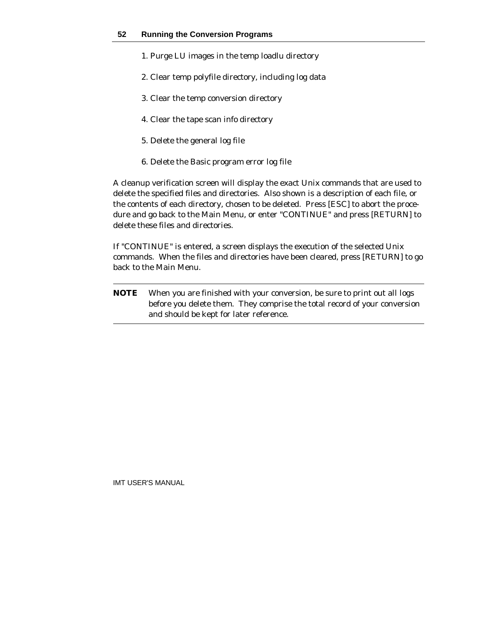- 1. Purge LU images in the temp loadlu directory
- 2. Clear temp polyfile directory, including log data
- 3. Clear the temp conversion directory
- 4. Clear the tape scan info directory
- 5. Delete the general log file
- 6. Delete the Basic program error log file

A cleanup verification screen will display the exact Unix commands that are used to delete the specified files and directories. Also shown is a description of each file, or the contents of each directory, chosen to be deleted. Press [ESC] to abort the procedure and go back to the Main Menu, or enter "CONTINUE" and press [RETURN] to delete these files and directories.

If "CONTINUE" is entered, a screen displays the execution of the selected Unix commands. When the files and directories have been cleared, press [RETURN] to go back to the Main Menu.

**NOTE** When you are finished with your conversion, be sure to print out all logs before you delete them. They comprise the total record of your conversion and should be kept for later reference.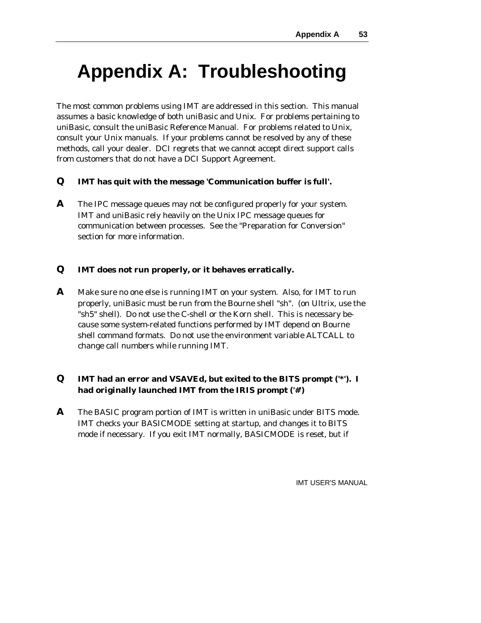# **Appendix A: Troubleshooting**

The most common problems using IMT are addressed in this section. This manual assumes a basic knowledge of both uniBasic and Unix. For problems pertaining to uniBasic, consult the uniBasic Reference Manual. For problems related to Unix, consult your Unix manuals. If your problems cannot be resolved by any of these methods, call your dealer. DCI regrets that we cannot accept direct support calls from customers that do not have a DCI Support Agreement.

#### **Q IMT has quit with the message 'Communication buffer is full'.**

**A** The IPC message queues may not be configured properly for your system. IMT and uniBasic rely heavily on the Unix IPC message queues for communication between processes. See the "Preparation for Conversion" section for more information.

#### **Q IMT does not run properly, or it behaves erratically.**

**A** Make sure no one else is running IMT on your system. Also, for IMT to run properly, uniBasic must be run from the Bourne shell "sh". (on Ultrix, use the "sh5" shell). Do not use the C-shell or the Korn shell. This is necessary because some system-related functions performed by IMT depend on Bourne shell command formats. Do not use the environment variable ALTCALL to change call numbers while running IMT.

## **Q IMT had an error and VSAVEd, but exited to the BITS prompt ('\*'). I had originally launched IMT from the IRIS prompt ('#')**

**A** The BASIC program portion of IMT is written in uniBasic under BITS mode. IMT checks your BASICMODE setting at startup, and changes it to BITS mode if necessary. If you exit IMT normally, BASICMODE is reset, but if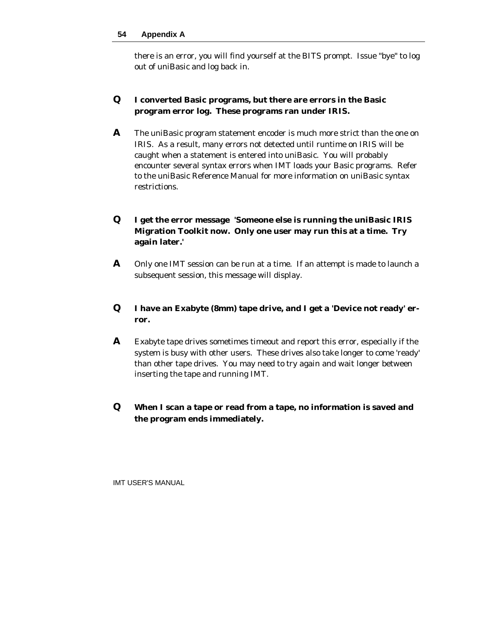#### **54 Appendix A**

there is an error, you will find yourself at the BITS prompt. Issue "bye" to log out of uniBasic and log back in.

#### **Q I converted Basic programs, but there are errors in the Basic program error log. These programs ran under IRIS.**

**A** The uniBasic program statement encoder is much more strict than the one on IRIS. As a result, many errors not detected until runtime on IRIS will be caught when a statement is entered into uniBasic. You will probably encounter several syntax errors when IMT loads your Basic programs. Refer to the uniBasic Reference Manual for more information on uniBasic syntax restrictions.

#### **Q I get the error message 'Someone else is running the uniBasic IRIS Migration Toolkit now. Only one user may run this at a time. Try again later.'**

**A** Only one IMT session can be run at a time. If an attempt is made to launch a subsequent session, this message will display.

#### **Q I have an Exabyte (8mm) tape drive, and I get a 'Device not ready' error.**

**A** Exabyte tape drives sometimes timeout and report this error, especially if the system is busy with other users. These drives also take longer to come 'ready' than other tape drives. You may need to try again and wait longer between inserting the tape and running IMT.

## **Q When I scan a tape or read from a tape, no information is saved and the program ends immediately.**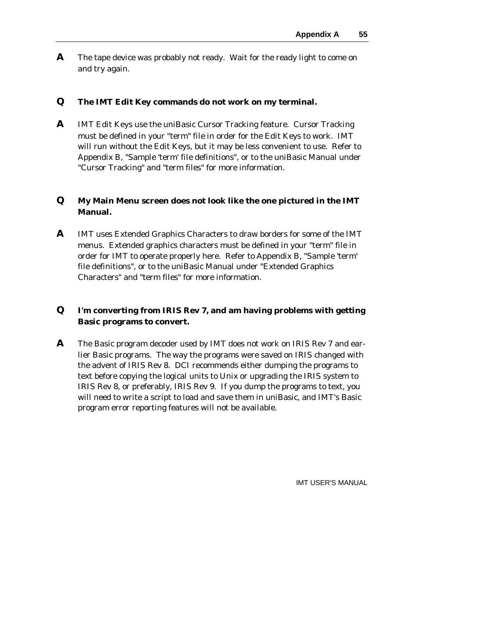**A** The tape device was probably not ready. Wait for the ready light to come on and try again.

#### **Q The IMT Edit Key commands do not work on my terminal.**

**A** IMT Edit Keys use the uniBasic Cursor Tracking feature. Cursor Tracking must be defined in your "term" file in order for the Edit Keys to work. IMT will run without the Edit Keys, but it may be less convenient to use. Refer to Appendix B, "Sample 'term' file definitions", or to the uniBasic Manual under "Cursor Tracking" and "term files" for more information.

#### **Q My Main Menu screen does not look like the one pictured in the IMT Manual.**

**A** IMT uses Extended Graphics Characters to draw borders for some of the IMT menus. Extended graphics characters must be defined in your "term" file in order for IMT to operate properly here. Refer to Appendix B, "Sample 'term' file definitions", or to the uniBasic Manual under "Extended Graphics Characters" and "term files" for more information.

## **Q I'm converting from IRIS Rev 7, and am having problems with getting Basic programs to convert.**

**A** The Basic program decoder used by IMT does not work on IRIS Rev 7 and earlier Basic programs. The way the programs were saved on IRIS changed with the advent of IRIS Rev 8. DCI recommends either dumping the programs to text before copying the logical units to Unix or upgrading the IRIS system to IRIS Rev 8, or preferably, IRIS Rev 9. If you dump the programs to text, you will need to write a script to load and save them in uniBasic, and IMT's Basic program error reporting features will not be available.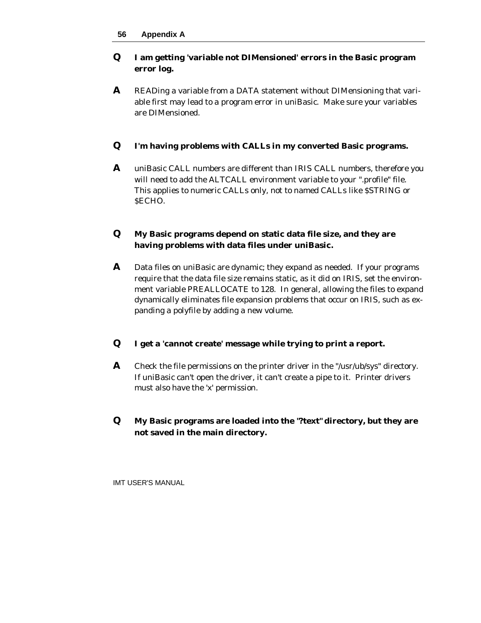## **Q I am getting 'variable not DIMensioned' errors in the Basic program error log.**

**A** READing a variable from a DATA statement without DIMensioning that variable first may lead to a program error in uniBasic. Make sure your variables are DIMensioned.

## **Q I'm having problems with CALLs in my converted Basic programs.**

**A** uniBasic CALL numbers are different than IRIS CALL numbers, therefore you will need to add the ALTCALL environment variable to your ".profile" file. This applies to numeric CALLs only, not to named CALLs like \$STRING or \$ECHO.

#### **Q My Basic programs depend on static data file size, and they are having problems with data files under uniBasic.**

**A** Data files on uniBasic are dynamic; they expand as needed. If your programs require that the data file size remains static, as it did on IRIS, set the environment variable PREALLOCATE to 128. In general, allowing the files to expand dynamically eliminates file expansion problems that occur on IRIS, such as expanding a polyfile by adding a new volume.

#### **Q I get a 'cannot create' message while trying to print a report.**

- **A** Check the file permissions on the printer driver in the "/usr/ub/sys" directory. If uniBasic can't open the driver, it can't create a pipe to it. Printer drivers must also have the 'x' permission.
- **Q My Basic programs are loaded into the "?text" directory, but they are not saved in the main directory.**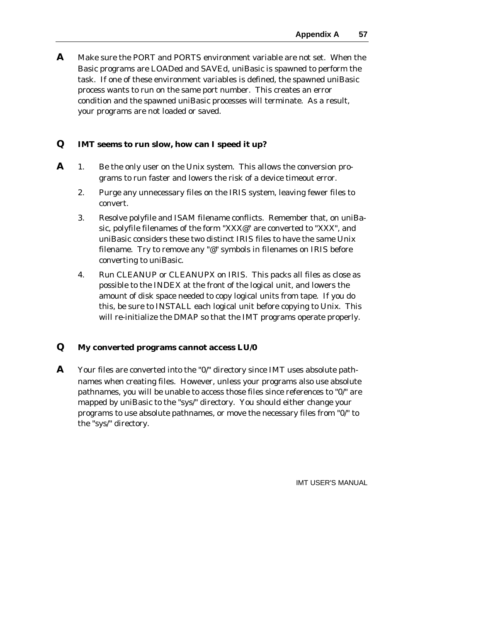**A** Make sure the PORT and PORTS environment variable are not set. When the Basic programs are LOADed and SAVEd, uniBasic is spawned to perform the task. If one of these environment variables is defined, the spawned uniBasic process wants to run on the same port number. This creates an error condition and the spawned uniBasic processes will terminate. As a result, your programs are not loaded or saved.

#### **Q IMT seems to run slow, how can I speed it up?**

- **A** 1. Be the only user on the Unix system. This allows the conversion programs to run faster and lowers the risk of a device timeout error.
	- 2. Purge any unnecessary files on the IRIS system, leaving fewer files to convert.
	- 3. Resolve polyfile and ISAM filename conflicts. Remember that, on uniBasic, polyfile filenames of the form "XXX@" are converted to "XXX", and uniBasic considers these two distinct IRIS files to have the same Unix filename. Try to remove any "@" symbols in filenames on IRIS before converting to uniBasic.
	- 4. Run CLEANUP or CLEANUPX on IRIS. This packs all files as close as possible to the INDEX at the front of the logical unit, and lowers the amount of disk space needed to copy logical units from tape. If you do this, be sure to INSTALL each logical unit before copying to Unix. This will re-initialize the DMAP so that the IMT programs operate properly.

#### **Q My converted programs cannot access LU/0**

**A** Your files are converted into the "0/" directory since IMT uses absolute pathnames when creating files. However, unless your programs also use absolute pathnames, you will be unable to access those files since references to "0/" are mapped by uniBasic to the "sys/" directory. You should either change your programs to use absolute pathnames, or move the necessary files from "0/" to the "sys/" directory.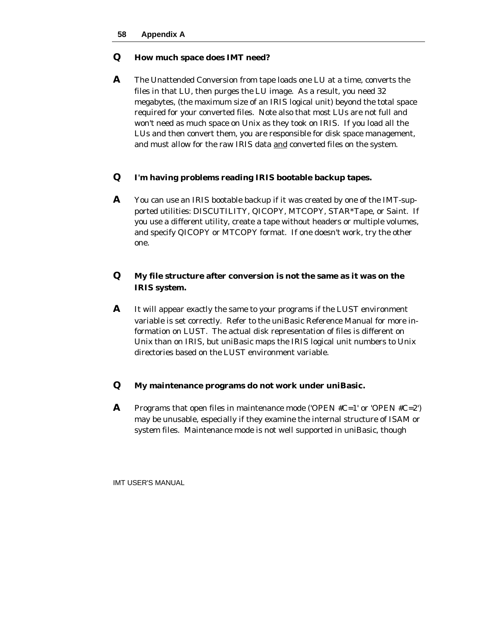#### **Q How much space does IMT need?**

**A** The Unattended Conversion from tape loads one LU at a time, converts the files in that LU, then purges the LU image. As a result, you need 32 megabytes, (the maximum size of an IRIS logical unit) beyond the total space required for your converted files. Note also that most LUs are not full and won't need as much space on Unix as they took on IRIS. If you load all the LUs and then convert them, you are responsible for disk space management, and must allow for the raw IRIS data and converted files on the system.

#### **Q I'm having problems reading IRIS bootable backup tapes.**

**A** You can use an IRIS bootable backup if it was created by one of the IMT-supported utilities: DISCUTILITY, QICOPY, MTCOPY, STAR\*Tape, or Saint. If you use a different utility, create a tape without headers or multiple volumes, and specify QICOPY or MTCOPY format. If one doesn't work, try the other one.

## **Q My file structure after conversion is not the same as it was on the IRIS system.**

**A** It will appear exactly the same to your programs if the LUST environment variable is set correctly. Refer to the uniBasic Reference Manual for more information on LUST. The actual disk representation of files is different on Unix than on IRIS, but uniBasic maps the IRIS logical unit numbers to Unix directories based on the LUST environment variable.

#### **Q My maintenance programs do not work under uniBasic.**

**A** Programs that open files in maintenance mode ('OPEN  $\#C=1$ ' or 'OPEN  $\#C=2'$ ') may be unusable, especially if they examine the internal structure of ISAM or system files. Maintenance mode is not well supported in uniBasic, though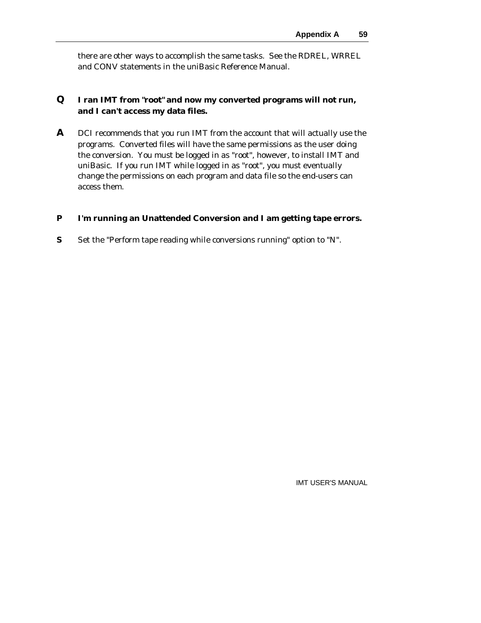there are other ways to accomplish the same tasks. See the RDREL, WRREL and CONV statements in the uniBasic Reference Manual.

#### **Q I ran IMT from "root" and now my converted programs will not run, and I can't access my data files.**

**A** DCI recommends that you run IMT from the account that will actually use the programs. Converted files will have the same permissions as the user doing the conversion. You must be logged in as "root", however, to install IMT and uniBasic. If you run IMT while logged in as "root", you must eventually change the permissions on each program and data file so the end-users can access them.

#### **P I'm running an Unattended Conversion and I am getting tape errors.**

**S** Set the "Perform tape reading while conversions running" option to "N".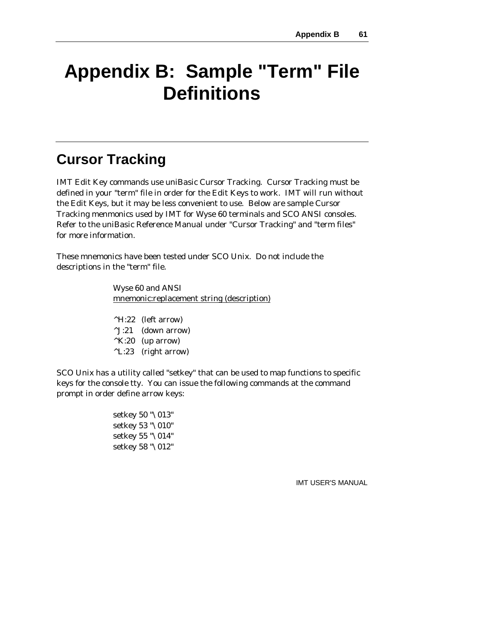# **Appendix B: Sample "Term" File Definitions**

# **Cursor Tracking**

IMT Edit Key commands use uniBasic Cursor Tracking. Cursor Tracking must be defined in your "term" file in order for the Edit Keys to work. IMT will run without the Edit Keys, but it may be less convenient to use. Below are sample Cursor Tracking menmonics used by IMT for Wyse 60 terminals and SCO ANSI consoles. Refer to the uniBasic Reference Manual under "Cursor Tracking" and "term files" for more information.

These mnemonics have been tested under SCO Unix. Do not include the descriptions in the "term" file.

> Wyse 60 and ANSI mnemonic:replacement string (description)

^H:22 (left arrow) ^J:21 (down arrow)  $^{\wedge}$ K:20 (up arrow) ^L:23 (right arrow)

SCO Unix has a utility called "setkey" that can be used to map functions to specific keys for the console tty. You can issue the following commands at the command prompt in order define arrow keys:

> setkey 50 "\013" setkey 53 "\010" setkey 55 "\014" setkey 58 "\012"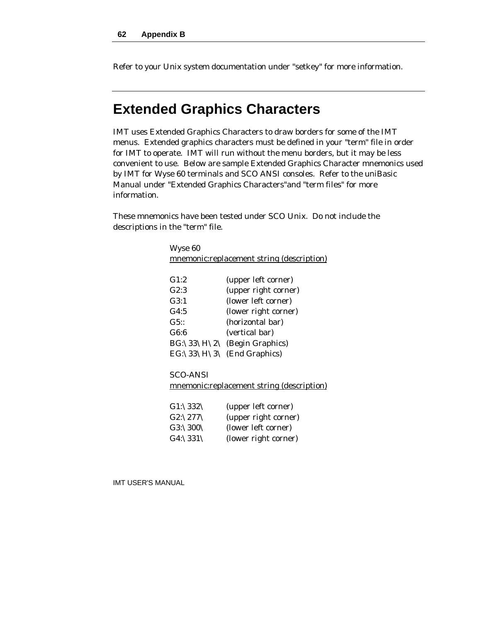Refer to your Unix system documentation under "setkey" for more information.

# **Extended Graphics Characters**

IMT uses Extended Graphics Characters to draw borders for some of the IMT menus. Extended graphics characters must be defined in your "term" file in order for IMT to operate. IMT will run without the menu borders, but it may be less convenient to use. Below are sample Extended Graphics Character mnemonics used by IMT for Wyse 60 terminals and SCO ANSI consoles. Refer to the uniBasic Manual under "Extended Graphics Characters"and "term files" for more information.

These mnemonics have been tested under SCO Unix. Do not include the descriptions in the "term" file.

| Wyse 60                                   |                              |  |
|-------------------------------------------|------------------------------|--|
| mnemonic:replacement string (description) |                              |  |
|                                           |                              |  |
| G1:2                                      | (upper left corner)          |  |
| G2:3                                      | (upper right corner)         |  |
| G3:1                                      | (lower left corner)          |  |
| G4:5                                      | (lower right corner)         |  |
| G5::                                      | (horizontal bar)             |  |
| G6:6                                      | (vertical bar)               |  |
|                                           | BG:\33\H\2\ (Begin Graphics) |  |
|                                           | EG:\33\H\3\ (End Graphics)   |  |
|                                           |                              |  |
| SCO-ANSI                                  |                              |  |
| mnemonic:replacement string (description) |                              |  |

| G1:\332\ | (upper left corner)  |
|----------|----------------------|
| G2:\277\ | (upper right corner) |
| G3:\300\ | (lower left corner)  |
| G4:\331\ | (lower right corner) |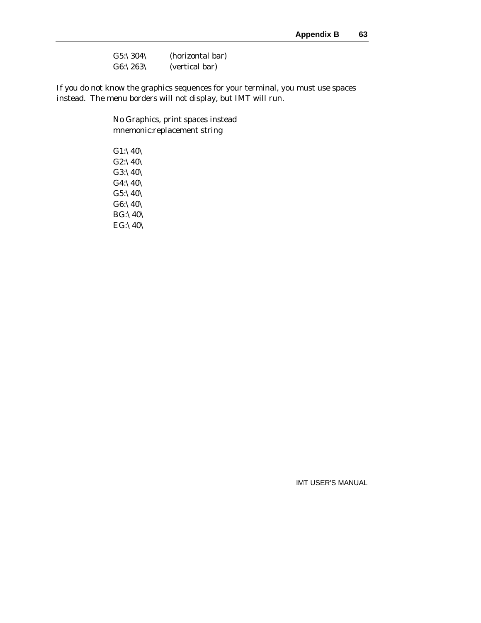| $G5: \304 \$ | (horizontal bar) |
|--------------|------------------|
| G6:12631     | (vertical bar)   |

If you do not know the graphics sequences for your terminal, you must use spaces instead. The menu borders will not display, but IMT will run.

> No Graphics, print spaces instead mnemonic:replacement string

G1:\40\ G2:\40\ G3:\40\ G4:\40\ G5:\40\ G6:\40\ BG:\40\ EG:\40\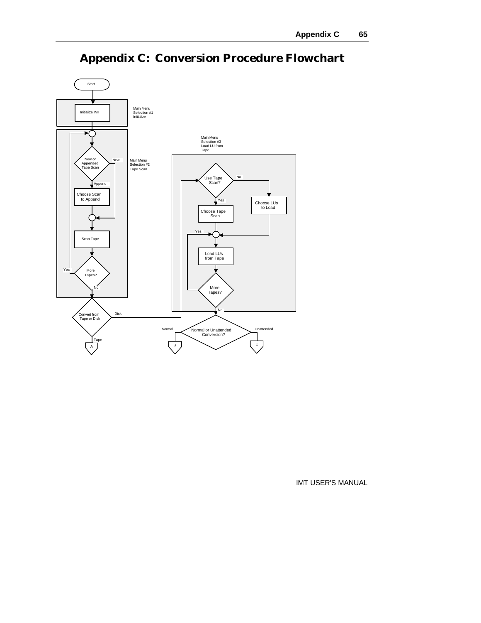

# **Appendix C: Conversion Procedure Flowchart**